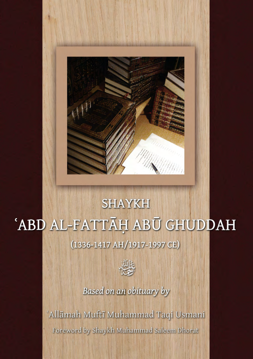

# **SHAYKH** 'ABD AL-FATTĀH ABŪ GHUDDAH (1336-1417 AH/1917-1997 CE)



### Based on an obituary by

'Allāmah Muftī Muhammad Taqi Usmani Foreword by Shaykh Muhammad Saleem Dhorat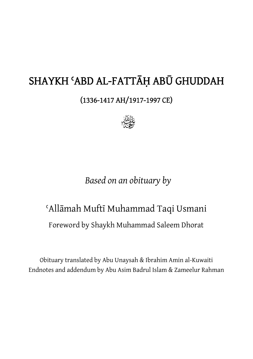# SHAYKH ʿABD AL-FATTĀḤ ABŪ GHUDDAH

(1336-1417 AH/1917-1997 CE)



## *Based on an obituary by*

# ʿAllāmah Muftī Muhammad Taqi Usmani

Foreword by Shaykh Muhammad Saleem Dhorat

Obituary translated by Abu Unaysah & Ibrahim Amin al-Kuwaiti Endnotes and addendum by Abu Asim Badrul Islam & Zameelur Rahman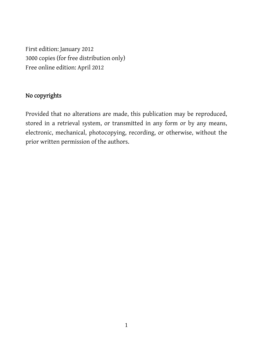First edition: January 2012 3000 copies (for free distribution only) Free online edition: April 2012

#### No copyrights

Provided that no alterations are made, this publication may be reproduced, stored in a retrieval system, or transmitted in any form or by any means, electronic, mechanical, photocopying, recording, or otherwise, without the prior written permission of the authors.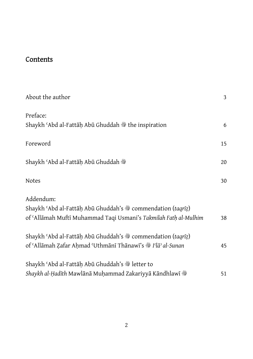### **Contents**

| About the author                                                                                                                             | 3  |
|----------------------------------------------------------------------------------------------------------------------------------------------|----|
| Preface:<br>Shaykh 'Abd al-Fattāḥ Abū Ghuddah St the inspiration                                                                             | 6  |
| Foreword                                                                                                                                     | 15 |
| Shaykh ʿAbd al-Fattāḥ Abū Ghuddah ▒                                                                                                          | 20 |
| <b>Notes</b>                                                                                                                                 | 30 |
| Addendum:<br>Shaykh 'Abd al-Fattāḥ Abū Ghuddah's Steommendation (taqrīz)<br>of 'Allāmah Muftī Muhammad Taqi Usmani's Takmilah Fath al-Mulhim | 38 |
| Shaykh 'Abd al-Fattāḥ Abū Ghuddah's Steommendation (taqrīz)<br>of 'Allāmah Zafar Ahmad 'Uthmānī Thānawī's # I'lā' al-Sunan                   | 45 |
| Shaykh 'Abd al-Fattāḥ Abū Ghuddah's Shetter to<br>Shaykh al-Ḥadīth Mawlānā Muḥammad Zakariyyā Kāndhlawī ��                                   | 51 |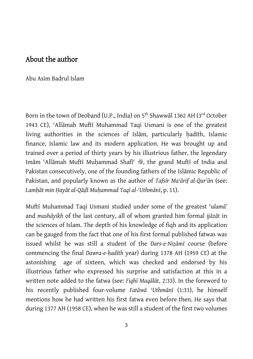#### About the author

Abu Asim Badrul Islam

Born in the town of Deoband (U.P., India) on 5<sup>th</sup> Shawwal 1362 AH (3<sup>rd</sup> October 1943 CE), ʿAllāmah Muftī Muhammad Taqi Usmani is one of the greatest living authorities in the sciences of Islam, particularly hadith, Islamic finance, Islamic law and its modern application. He was brought up and trained over a period of thirty years by his illustrious father, the legendary Imām 'Allāmah Muftī Muhammad Shafī' , the grand Muftī of India and Pakistan consecutively, one of the founding fathers of the Islāmic Republic of Pakistan, and popularly known as the author of *Tafsīr Maʿārif al-Qurʾān* (see: *Lamḥāt min Ḥayāt al-Qāḍ*ī *Muḥammad Taqī al-ʿUthmānī*, p. 11).

Muftī Muhammad Taqi Usmani studied under some of the greatest ʿ*ulamā'* and *mashāyikh* of the last century, all of whom granted him formal *ijāzāt* in the sciences of Islam. The depth of his knowledge of fiqh and its application can be gauged from the fact that one of his first formal published fatwas was issued whilst he was still a student of the *Dars-e-Niẓāmī* course (before commencing the final *Dawra-e-ḥadīth* year) during 1378 AH (1959 CE) at the astonishing age of sixteen, which was checked and endorsed by his illustrious father who expressed his surprise and satisfaction at this in a written note added to the fatwa (see: *Fiqhī Maqālāt*, 2:33). In the foreword to his recently published four-volume *Fatāwā ʿUthmānī* (1:33), he himself mentions how he had written his first fatwa even before then. He says that during 1377 AH (1958 CE), when he was still a student of the first two volumes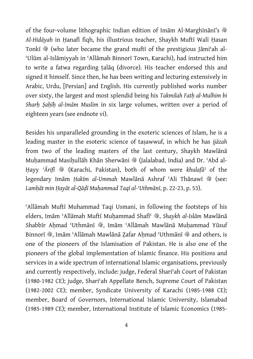of the four-volume lithographic Indian edition of Imam Al-Marghinani's  $\ddot{\textcircled{}}$ *Al-Hidāyah* in Ḥanafī fiqh, his illustrious teacher, Shaykh Muftī Walī Ḥasan Tonkī �� (who later became the grand muftī of the prestigious Jāmi'ah al-ʿUlūm al-Islāmiyyah in ʿAllāmah Binnorī Town, Karachi), had instructed him to write a fatwa regarding ṭalāq (divorce). His teacher endorsed this and signed it himself. Since then, he has been writing and lecturing extensively in Arabic, Urdu, [Persian] and English. His currently published works number over sixty, the largest and most splendid being his *Takmilah Fatḥ al-Mulhim bi Sharḥ Ṣaḥīḥ al-Imām Muslim* in six large volumes, written over a period of eighteen years (see endnote vi).

Besides his unparalleled grounding in the exoteric sciences of Islam, he is a leading master in the esoteric science of taṣawwuf, in which he has *ijāzah* from two of the leading masters of the last century, Shaykh Mawlānā Muhammad Masihullāh Khān Sherwāni �� (Jalalabad, India) and Dr. 'Abd al-Hayy 'Ārifī S (Karachi, Pakistan), both of whom were *khulafā* of the legendary Imām *Hakīm al-Ummah Mawlānā Ashraf 'Ali Thānawī* �� (see: *Lamḥāt min Ḥayāt al-Qāḍī Muḥammad Taqī al-ʿUthmānī*, p. 22-23, p. 53).

ʿAllāmah Muftī Muhammad Taqi Usmani, in following the footsteps of his elders, Imām 'Allāmah Muftī Muḥammad Shafī<sup>c</sup> , Shaykh al-Islām Mawlānā Shabbīr Ahmad 'Uthmānī , Imām 'Allāmah Mawlānā Muhammad Yūsuf Binnorī , Imām 'Allāmah Mawlānā Zafar Ahmad 'Uthmānī  $\ddot{\textbf{w}}$  and others, is one of the pioneers of the Islamisation of Pakistan. He is also one of the pioneers of the global implementation of Islamic finance. His positions and services in a wide spectrum of international Islamic organisations, previously and currently respectively, include: judge, Federal Shariʿah Court of Pakistan (1980-1982 CE); judge, Shariʿah Appellate Bench, Supreme Court of Pakistan (1982-2002 CE); member, Syndicate University of Karachi (1985-1988 CE); member, Board of Governors, International Islamic University, Islamabad (1985-1989 CE); member, International Institute of Islamic Economics (1985-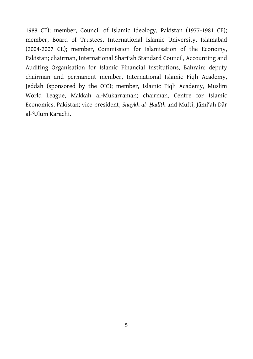1988 CE); member, Council of Islamic Ideology, Pakistan (1977-1981 CE); member, Board of Trustees, International Islamic University, Islamabad (2004-2007 CE); member, Commission for Islamisation of the Economy, Pakistan; chairman, International Shariʿah Standard Council, Accounting and Auditing Organisation for Islamic Financial Institutions, Bahrain; deputy chairman and permanent member, International Islamic Fiqh Academy, Jeddah (sponsored by the OIC); member, Islamic Fiqh Academy, Muslim World League, Makkah al-Mukarramah; chairman, Centre for Islamic Economics, Pakistan; vice president, *Shaykh al- Ḥadīth* and Muftī, Jāmiʿah Dār al-ʿUlūm Karachi.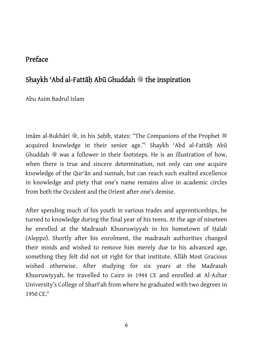#### Preface

#### Shaykh 'Abd al-Fattāh Abū Ghuddah <sup>®</sup> the inspiration

Abu Asim Badrul Islam

Imām al-Bukhārī , in his *Saḥīḥ*, states: "The Companions of the Prophet \$ acquired knowledge in their senior age."i Shaykh ʿAbd al-Fattāḥ Abū Ghuddah  $*$  was a follower in their footsteps. He is an illustration of how, when there is true and sincere determination, not only can one acquire knowledge of the Qurʾān and sunnah, but can reach such exalted excellence in knowledge and piety that one's name remains alive in academic circles from both the Occident and the Orient after one's demise.

After spending much of his youth in various trades and apprenticeships, he turned to knowledge during the final year of his teens. At the age of nineteen he enrolled at the Madrasah Khusruwiyyah in his hometown of Halab (Aleppo). Shortly after his enrolment, the madrasah authorities changed their minds and wished to remove him merely due to his advanced age, something they felt did not sit right for that institute. Allāh Most Gracious wished otherwise. After studying for six years at the Madrasah Khusruwiyyah, he travelled to Cairo in 1944 CE and enrolled at Al-Azhar University's College of Sharīʿah from where he graduated with two degrees in 1950 CE.<sup>ii</sup>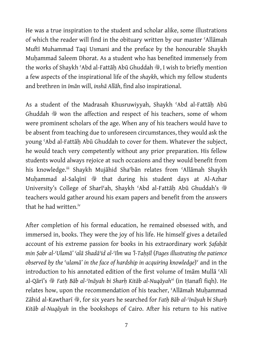He was a true inspiration to the student and scholar alike, some illustrations of which the reader will find in the obituary written by our master ʿAllāmah Muftī Muhammad Taqi Usmani and the preface by the honourable Shaykh Muhammad Saleem Dhorat. As a student who has benefited immensely from the works of Shaykh 'Abd al-Fattāh Abū Ghuddah , I wish to briefly mention a few aspects of the inspirational life of the *shaykh*, which my fellow students and brethren in *īmān* will, *inshā Allāh*, find also inspirational.

As a student of the Madrasah Khusruwiyyah, Shaykh 'Abd al-Fattāh Abū Ghuddah  $*$  won the affection and respect of his teachers, some of whom were prominent scholars of the age. When any of his teachers would have to be absent from teaching due to unforeseen circumstances, they would ask the young ʿAbd al-Fattāḥ Abū Ghuddah to cover for them. Whatever the subject, he would teach very competently without any prior preparation. His fellow students would always rejoice at such occasions and they would benefit from his knowledge.<sup>iii</sup> Shaykh Mujāhid Sha<sup>c</sup>bān relates from 'Allāmah Shaykh Muhammad al-Salqīnī il that during his student days at Al-Azhar University's College of Sharī'ah, Shaykh 'Abd al-Fattāh Abū Ghuddah's  $\frac{38}{10}$ teachers would gather around his exam papers and benefit from the answers that he had written.<sup>iv</sup>

After completion of his formal education, he remained obsessed with, and immersed in, books. They were the joy of his life. He himself gives a detailed account of his extreme passion for books in his extraordinary work *Ṣafaḥāt min Ṣabr al-ʿUlamā' ʿalā Shadāʾid al-ʿIlm wa 'l-Taḥṣīl* (*Pages illustrating the patience observed by the* ʿ*ulamā' in the face of hardship in acquiring knowledge*) v and in the introduction to his annotated edition of the first volume of Imām Mullā ʿAlī al-Qārī's v *Fatḥ Bāb al-ʿInāyah bi Sharḥ Kitāb al-Nuqāyahvi* (in Ḥanafī fiqh). He relates how, upon the recommendation of his teacher, 'Allāmah Muhammad Zāhid al-Kawtharī v, for six years he searched for *Fatḥ Bāb al-ʿInāyah bi Sharḥ Kitāb al-Nuqāyah* in the bookshops of Cairo. After his return to his native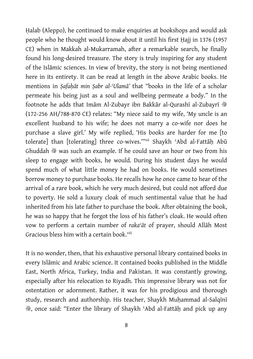Halab (Aleppo), he continued to make enquiries at bookshops and would ask people who he thought would know about it until his first Ḥajj in 1376 (1957 CE) when in Makkah al-Mukarramah, after a remarkable search, he finally found his long-desired treasure. The story is truly inspiring for any student of the Islāmic sciences. In view of brevity, the story is not being mentioned here in its entirety. It can be read at length in the above Arabic books. He mentions in *Ṣafaḥāt min Ṣabr al-ʿUlamā'* that "books in the life of a scholar permeate his being just as a soul and wellbeing permeate a body." In the footnote he adds that Imām Al-Zubayr ibn Bakkār al-Qurashī al-Zubayrī ® (172-256 AH/788-870 CE) relates: "My niece said to my wife, 'My uncle is an excellent husband to his wife; he does not marry a co-wife nor does he purchase a slave girl.' My wife replied, 'His books are harder for me [to tolerate] than [tolerating] three co-wives.""vii Shaykh 'Abd al-Fattāh Abū Ghuddah  $*$  was such an example. If he could save an hour or two from his sleep to engage with books, he would. During his student days he would spend much of what little money he had on books. He would sometimes borrow money to purchase books. He recalls how he once came to hear of the arrival of a rare book, which he very much desired, but could not afford due to poverty. He sold a luxury cloak of much sentimental value that he had inherited from his late father to purchase the book. After obtaining the book, he was so happy that he forgot the loss of his father's cloak. He would often vow to perform a certain number of *rakaʿāt* of prayer, should Allāh Most Gracious bless him with a certain book.<sup>viii</sup>

It is no wonder, then, that his exhaustive personal library contained books in every Islāmic and Arabic science. It contained books published in the Middle East, North Africa, Turkey, India and Pakistan. It was constantly growing, especially after his relocation to Riyadh. This impressive library was not for ostentation or adornment. Rather, it was for his prodigious and thorough study, research and authorship. His teacher, Shaykh Muḥammad al-Salqīnī v, once said: "Enter the library of Shaykh ʿAbd al-Fattāḥ and pick up any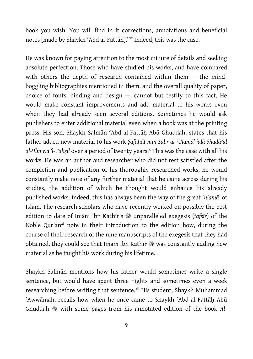book you wish. You will find in it corrections, annotations and beneficial notes [made by Shaykh ʿAbd al-Fattāḥ]."ix Indeed, this was the case.

He was known for paying attention to the most minute of details and seeking absolute perfection. Those who have studied his works, and have compared with others the depth of research contained within them — the mindboggling bibliographies mentioned in them, and the overall quality of paper, choice of fonts, binding and design —, cannot but testify to this fact. He would make constant improvements and add material to his works even when they had already seen several editions. Sometimes he would ask publishers to enter additional material even when a book was at the printing press. His son, Shaykh Salmān ʿAbd al-Fattāḥ Abū Ghuddah, states that his father added new material to his work *Ṣafaḥāt min Ṣabr al-ʿUlamā' ʿalā Shadāʾid*  al-Ilm wa 'l-Taḥṣīl over a period of twenty years.<sup>x</sup> This was the case with all his works. He was an author and researcher who did not rest satisfied after the completion and publication of his thoroughly researched works; he would constantly make note of any further material that he came across during his studies, the addition of which he thought would enhance his already published works. Indeed, this has always been the way of the great ʿ*ulamā'* of Islām. The research scholars who have recently worked on possibly the best edition to date of Imām Ibn Kathīr's  $\frac{36}{32}$  unparalleled exegesis (tafsīr) of the Noble Qur'an<sup>xi</sup> note in their introduction to the edition how, during the course of their research of the nine manuscripts of the exegesis that they had obtained, they could see that Imam Ibn Kathir was constantly adding new material as he taught his work during his lifetime.

Shaykh Salmān mentions how his father would sometimes write a single sentence, but would have spent three nights and sometimes even a week researching before writing that sentence.<sup>xii</sup> His student, Shaykh Muhammad ʿAwwāmah, recalls how when he once came to Shaykh ʿAbd al-Fattāḥ Abū Ghuddah  $*$  with some pages from his annotated edition of the book Al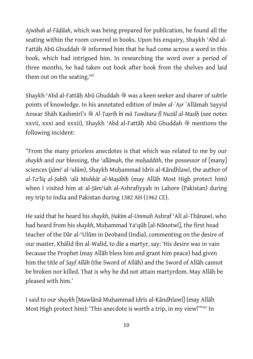*Ajwibah al-Fāḍilah*, which was being prepared for publication, he found all the seating within the room covered in books. Upon his enquiry, Shaykh 'Abd al-Fattāh Abū Ghuddah  $\frac{36}{28}$  informed him that he had come across a word in this book, which had intrigued him. In researching the word over a period of three months, he had taken out book after book from the shelves and laid them out on the seating.<sup>xiii</sup>

Shaykh 'Abd al-Fattāh Abū Ghuddah  $*$  was a keen seeker and sharer of subtle points of knowledge. In his annotated edition of *Imām al-ʽAṣr* ʽAllāmah Sayyid Anwar Shāh Kashmīrī's �� Al-Tasrīh bi mā Tawātara fī Nuzūl al-Masīh (see notes xxvii, xxxi and xxxii), Shaykh 'Abd al-Fattāh Abū Ghuddah ® mentions the following incident:

"From the many priceless anecdotes is that which was related to me by our *shaykh* and our blessing, the *ʿallāmah*, the *muḥaddith*, the possessor of [many] sciences (*jāmiʿ al-ʿulūm*), Shaykh Muḥammad Idrīs al-Kāndhlawī, the author of *al-Taʿlīq al-Ṣabīḥ ʿalā Mishkāt al-Maṣābīḥ* (may Allāh Most High protect him) when I visited him at al-Jām'iah al-Ashrafiyyah in Lahore (Pakistan) during my trip to India and Pakistan during 1382 AH (1962 CE).

He said that he heard his *shaykh*, *Ḥakīm al-Ummah* Ashraf ʿAlī al-Thānawī, who had heard from his *shaykh*, Muhammad Yaʿqūb [al-Nānotwī], the first head teacher of the Dār al-ʿUlūm in Deoband (India), commenting on the desire of our master, Khālid ibn al-Walīd, to die a martyr, say: 'His desire was in vain because the Prophet (may Allāh bless him and grant him peace) had given him the title of *Sayf Allāh* (the Sword of Allāh) and the Sword of Allāh cannot be broken nor killed. That is why he did not attain martyrdom. May Allāh be pleased with him.'

I said to our *shaykh* [Mawlānā Muḥammad Idrīs al-Kāndhlawī] (may Allāh Most High protect him): 'This anecdote is worth a trip, in my view!'"xiv In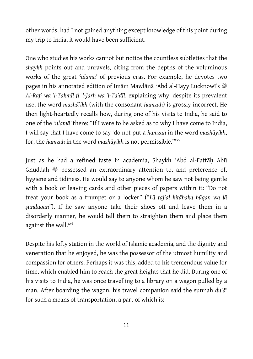other words, had I not gained anything except knowledge of this point during my trip to India, it would have been sufficient.

One who studies his works cannot but notice the countless subtleties that the *shaykh* points out and unravels, citing from the depths of the voluminous works of the great ʿ*ulamā'* of previous eras. For example, he devotes two pages in his annotated edition of Imām Mawlānā 'Abd al-Hayy Lucknowī's  $\ddot{\textcircled{}}$ *Al-Rafʿ wa 'l-Takmīl fi 'l-Jarḥ wa 'l-Taʿdīl*, explaining why, despite its prevalent use, the word *mashāʾikh* (with the consonant *hamzah*) is grossly incorrect. He then light-heartedly recalls how, during one of his visits to India, he said to one of the ʿ*ulamā'* there: "If I were to be asked as to why I have come to India, I will say that I have come to say 'do not put a *hamzah* in the word *mashāyikh*, for, the *hamzah* in the word *mashāyikh* is not permissible.'"xv

Just as he had a refined taste in academia, Shaykh ʿAbd al-Fattāḥ Abū Ghuddah  $*$  possessed an extraordinary attention to, and preference of, hygiene and tidiness. He would say to anyone whom he saw not being gentle with a book or leaving cards and other pieces of papers within it: "Do not treat your book as a trumpet or a locker" ("*Lā tajʿal kitābaka būqan wa lā ṣundūqan"*). If he saw anyone take their shoes off and leave them in a disorderly manner, he would tell them to straighten them and place them against the wall.<sup>xvi</sup>

Despite his lofty station in the world of Islāmic academia, and the dignity and veneration that he enjoyed, he was the possessor of the utmost humility and compassion for others. Perhaps it was this, added to his tremendous value for time, which enabled him to reach the great heights that he did. During one of his visits to India, he was once travelling to a library on a wagon pulled by a man. After boarding the wagon, his travel companion said the sunnah *duʿāʾ*  for such a means of transportation, a part of which is: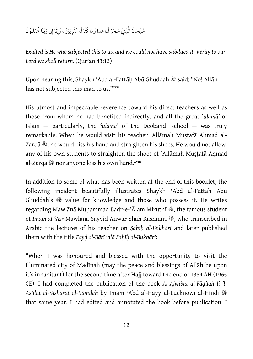#### سُّبْحَانَ الَّذِيْ سَخَّرَ لَناَ هذَا وَمَا كُنَّا لَه مُقْرِنِيْنَ ، وَإِنَّا إِلى رَبِّنَا لَمْنْقَلِبُوْنَ ِ ِ  $\overline{\phantom{a}}$  $\overline{a}$

*Exalted is He who subjected this to us, and we could not have subdued it. Verily to our Lord we shall return.* (Qurʾān 43:13)

Upon hearing this, Shaykh 'Abd al-Fattāh Abū Ghuddah  $*$ said: "No! Allāh has not subjected this man to us."xvii

His utmost and impeccable reverence toward his direct teachers as well as those from whom he had benefited indirectly, and all the great ʿ*ulamā'* of Islām — particularly, the ʿ*ulamā'* of the Deobandī school — was truly remarkable. When he would visit his teacher 'Allāmah Mustafā Ahmad al-Zarqā , he would kiss his hand and straighten his shoes. He would not allow any of his own students to straighten the shoes of 'Allāmah Mustafā Ahmad al-Zarqā \* nor anyone kiss his own hand.<sup>xviii</sup>

In addition to some of what has been written at the end of this booklet, the following incident beautifully illustrates Shaykh ʿAbd al-Fattāḥ Abū Ghuddah's  $\ast$  value for knowledge and those who possess it. He writes regarding Mawlānā Muhammad Badr-e-ʿĀlam Miruthī , the famous student of *Imām al-ʿAṣr* Mawlānā Sayyid Anwar Shāh Kashmīrī , who transcribed in Arabic the lectures of his teacher on *Ṣaḥīḥ al-Bukhārī* and later published them with the title *Fayḍ al-Bārī ʿalā Ṣaḥīḥ al-Bukhārī*:

"When I was honoured and blessed with the opportunity to visit the illuminated city of Madīnah (may the peace and blessings of Allāh be upon it's inhabitant) for the second time after Hajj toward the end of 1384 AH (1965 CE), I had completed the publication of the book *Al-Ajwibat al-Fāḍilah li 'l-Asʾilat al-ʿAsharat al-Kāmilah* by Imām ʿAbd al-Ḥayy al-Lucknowī al-Hindī v that same year. I had edited and annotated the book before publication. I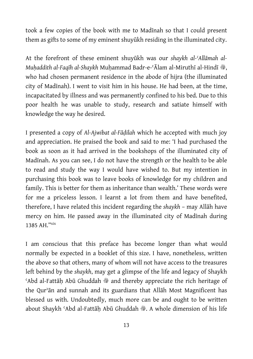took a few copies of the book with me to Madīnah so that I could present them as gifts to some of my eminent shuyūkh residing in the illuminated city.

At the forefront of these eminent shuyūkh was our *shaykh al-ʿAllāmah al-Muhaddith al-Faqīh al-Shaykh Muhammad Badr-e-* ʿĀlam al-Miruthī al-Hindī  $\ddot{\mathcal{E}}$ , who had chosen permanent residence in the abode of hijra (the illuminated city of Madīnah). I went to visit him in his house. He had been, at the time, incapacitated by illness and was permanently confined to his bed. Due to this poor health he was unable to study, research and satiate himself with knowledge the way he desired.

I presented a copy of *Al-Ajwibat al-Fāḍilah* which he accepted with much joy and appreciation. He praised the book and said to me: 'I had purchased the book as soon as it had arrived in the bookshops of the illuminated city of Madīnah. As you can see, I do not have the strength or the health to be able to read and study the way I would have wished to. But my intention in purchasing this book was to leave books of knowledge for my children and family. This is better for them as inheritance than wealth.' These words were for me a priceless lesson. I learnt a lot from them and have benefited, therefore, I have related this incident regarding the *shaykh* – may Allāh have mercy on him. He passed away in the illuminated city of Madīnah during 1385 AH."xix

I am conscious that this preface has become longer than what would normally be expected in a booklet of this size. I have, nonetheless, written the above so that others, many of whom will not have access to the treasures left behind by the *shaykh*, may get a glimpse of the life and legacy of Shaykh  $\dots$ Abd al-Fattāh Abū Ghuddah  $\ddot{\mathcal{F}}$  and thereby appreciate the rich heritage of the Qurʾān and sunnah and its guardians that Allāh Most Magnificent has blessed us with. Undoubtedly, much more can be and ought to be written about Shaykh 'Abd al-Fattāḥ Abū Ghuddah , A whole dimension of his life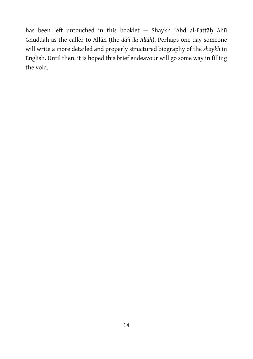has been left untouched in this booklet — Shaykh ʿAbd al-Fattāḥ Abū Ghuddah as the caller to Allāh (the *dāʿī ila Allāh*). Perhaps one day someone will write a more detailed and properly structured biography of the *shaykh* in English. Until then, it is hoped this brief endeavour will go some way in filling the void.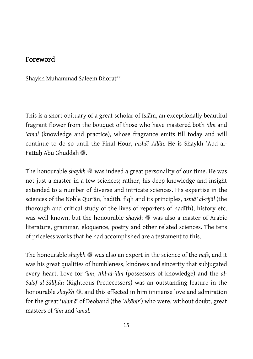#### Foreword

Shaykh Muhammad Saleem Dhorat<sup>xx</sup>

This is a short obituary of a great scholar of Islām, an exceptionally beautiful fragrant flower from the bouquet of those who have mastered both *ʿilm* and *ʿamal* (knowledge and practice), whose fragrance emits till today and will continue to do so until the Final Hour, *inshāʾ Allāh*. He is Shaykh ʿAbd al-Fattāh Abū Ghuddah ,

The honourable *shaykh*  $\frac{36}{29}$  was indeed a great personality of our time. He was not just a master in a few sciences; rather, his deep knowledge and insight extended to a number of diverse and intricate sciences. His expertise in the sciences of the Noble Qurʾān, ḥadīth, fiqh and its principles, *asmāʾ al-rijāl* (the thorough and critical study of the lives of reporters of hadith), history etc. was well known, but the honourable *shaykh*  $\frac{36}{29}$  was also a master of Arabic literature, grammar, eloquence, poetry and other related sciences. The tens of priceless works that he had accomplished are a testament to this.

The honourable *shaykh*  $*$  was also an expert in the science of the *nafs*, and it was his great qualities of humbleness, kindness and sincerity that subjugated every heart. Love for *ʿilm*, *Ahl-al-ʿilm* (possessors of knowledge) and the *al-Salaf al-Ṣāliḥūn* (Righteous Predecessors) was an outstanding feature in the honourable *shaykh*  $\ddot{\mathcal{B}}$ , and this effected in him immense love and admiration for the great ʿ*ulamā'* of Deoband (the *'Akābir'*) who were, without doubt, great masters of *ʿilm* and ʿ*amal.*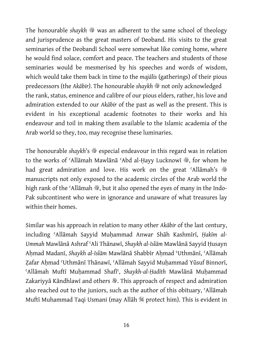The honourable *shaykh*  $\frac{36}{29}$  was an adherent to the same school of theology and jurisprudence as the great masters of Deoband. His visits to the great seminaries of the Deobandī School were somewhat like coming home, where he would find solace, comfort and peace. The teachers and students of those seminaries would be mesmerised by his speeches and words of wisdom, which would take them back in time to the *majālis* (gatherings) of their pious predecessors (the *Akābir*). The honourable *shaykh*  $*$  not only acknowledged the rank, status, eminence and calibre of our pious elders, rather, his love and admiration extended to our *Akābir* of the past as well as the present. This is evident in his exceptional academic footnotes to their works and his endeavour and toil in making them available to the Islamic academia of the Arab world so they, too, may recognise these luminaries.

The honourable *shaykh*'s  $\triangleq$  especial endeavour in this regard was in relation to the works of 'Allāmah Mawlānā 'Abd al-Ḥayy Lucknowī , for whom he had great admiration and love. His work on the great 'Allāmah's  $\ddot{\mathcal{E}}$ manuscripts not only exposed to the academic circles of the Arab world the high rank of the 'Allāmah , but it also opened the eyes of many in the Indo-Pak subcontinent who were in ignorance and unaware of what treasures lay within their homes.

Similar was his approach in relation to many other *Akābir* of the last century, including ʿAllāmah Sayyid Muḥammad Anwar Shāh Kashmīrī, *Ḥakīm al-Ummah* Mawlānā Ashraf ʿAli Thānawī, *Shaykh al-Islām* Mawlānā Sayyid Ḥusayn Aḥmad Madanī, *Shaykh al-Islām* Mawlānā Shabbīr Aḥmad ʿUthmānī, ʿAllāmah Zafar Ahmad 'Uthmānī Thānawī, 'Allāmah Sayyid Muhammad Yūsuf Binnorī, ʿAllāmah Muftī Muḥammad Shafīʿ, *Shaykh-al-Ḥadīth* Mawlānā Muḥammad Zakariyyā Kāndhlawī and others . This approach of respect and admiration also reached out to the juniors, such as the author of this obituary, ʿAllāmah Muftī Muhammad Taqi Usmani (may Allāh \$ protect him). This is evident in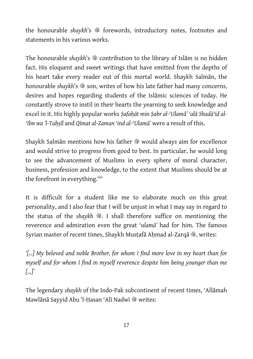the honourable *shaykh's*  $\frac{36}{5}$  forewords, introductory notes, footnotes and statements in his various works.

The honourable *shaykh*'s  $\frac{48}{3}$  contribution to the library of Islam is no hidden fact. His eloquent and sweet writings that have emitted from the depths of his heart take every reader out of this mortal world. Shaykh Salmān, the honourable *shaykh*'s  $\frac{4}{3}$  son, writes of how his late father had many concerns, desires and hopes regarding students of the Islāmic sciences of today. He constantly strove to instil in their hearts the yearning to seek knowledge and excel in it. His highly popular works *Ṣafaḥāt min Ṣabr al-ʿUlamā' ʿalā Shadāʾid al-ʿIlm wa 'l-Taḥṣīl* and *Qīmat al-Zaman ʿind al-*ʿ*Ulamā'* were a result of this.

Shaykh Salmān mentions how his father  $\ast$  would always aim for excellence and would strive to progress from good to best. In particular, he would long to see the advancement of Muslims in every sphere of moral character, business, profession and knowledge, to the extent that Muslims should be at the forefront in everything.<sup>xxi</sup>

It is difficult for a student like me to elaborate much on this great personality, and I also fear that I will be unjust in what I may say in regard to the status of the *shaykh*  $\ddot{\mathcal{B}}$ . I shall therefore suffice on mentioning the reverence and admiration even the great ʿ*ulamā'* had for him. The famous Syrian master of recent times, Shaykh Mustafā Ahmad al-Zarqā , writes:

*'[…] My beloved and noble Brother, for whom I find more love in my heart than for myself and for whom I find in myself reverence despite him being younger than me […]'* 

The legendary *shaykh* of the Indo-Pak subcontinent of recent times, ʿAllāmah Mawlānā Sayyid Abu 'l-Ḥasan 'Alī Nadwī · writes: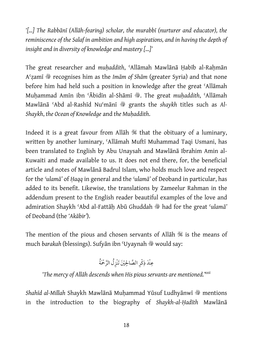*'[…] The Rabbānī (Allāh-fearing) scholar, the murabbī (nurturer and educator), the reminiscence of the Salaf in ambition and high aspirations, and in having the depth of insight and in diversity of knowledge and mastery […]'* 

The great researcher and *muḥaddith*, ʿAllāmah Mawlānā Ḥabīb al-Raḥmān A<sup>c</sup>zamī  $*$  recognises him as the *Imām of Shām* (greater Syria) and that none before him had held such a position in knowledge after the great ʿAllāmah Muhammad Amīn ibn 'Ābidīn al-Shāmī , The great *muhaddith*, 'Allāmah Mawlānā 'Abd al-Rashīd Nu'mānī # grants the *shaykh* titles such as Al-*Shaykh*, *the Ocean of Knowledge* and *the Muḥaddith*.

Indeed it is a great favour from Allah  $\mathbb K$  that the obituary of a luminary, written by another luminary, ʿAllāmah Muftī Muhammad Taqi Usmani, has been translated to English by Abu Unaysah and Mawlānā Ibrahim Amin al-Kuwaiti and made available to us. It does not end there, for, the beneficial article and notes of Mawlānā Badrul Islam, who holds much love and respect for the *ʿulamā'* of *Ḥaqq* in general and the *ʿulamā'* of Deoband in particular, has added to its benefit. Likewise, the translations by Zameelur Rahman in the addendum present to the English reader beautiful examples of the love and admiration Shaykh ʿAbd al-Fattāḥ Abū Ghuddah v had for the great ʿ*ulamā'*  of Deoband (the *'Akābir'*).

The mention of the pious and chosen servants of Allāh  $\mathcal{H}$  is the means of much *barakah* (blessings). Sufyān ibn 'Uyaynah  $\ast$  would say:

َّ َْحمُة ُِل الر ْينَ َتنْز ِ ِ َّ الصالح ْكر ِ نَْد ذ ِ ع

*'The mercy of Allāh descends when His pious servants are mentioned.'xxii*

*Shahīd al-Millah Shaykh Mawlānā Muḥammad Yūsuf Ludhyānwī �� mentions* in the introduction to the biography of *Shaykh-al-Ḥadīth* Mawlānā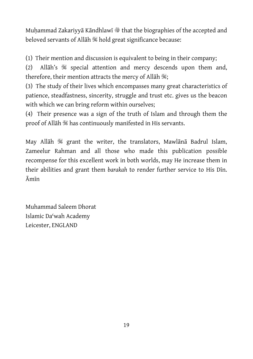Muḥammad Zakariyyā Kāndhlawī ilhat the biographies of the accepted and beloved servants of Allāh  $\mathbb$  hold great significance because:

(1) Their mention and discussion is equivalent to being in their company;

(2) Allāh's  $\frac{400}{100}$  special attention and mercy descends upon them and, therefore, their mention attracts the mercy of Allāh \;

(3) The study of their lives which encompasses many great characteristics of patience, steadfastness, sincerity, struggle and trust etc. gives us the beacon with which we can bring reform within ourselves;

(4) Their presence was a sign of the truth of Islam and through them the proof of Allāh is has continuously manifested in His servants.

May Allāh S grant the writer, the translators, Mawlānā Badrul Islam, Zameelur Rahman and all those who made this publication possible recompense for this excellent work in both worlds, may He increase them in their abilities and grant them *barakah* to render further service to His Dīn. Āmīn

Muhammad Saleem Dhorat Islamic Daʿwah Academy Leicester, ENGLAND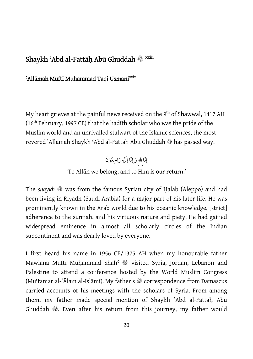#### Shaykh ʿAbd al-Fattāḥ Abū Ghuddah v xxiii

#### 'Allāmah Muftī Muhammad Taqi Usmani<sup>xxiv</sup>

My heart grieves at the painful news received on the 9<sup>th</sup> of Shawwal, 1417 AH (16th February, 1997 CE) that the ḥadīth scholar who was the pride of the Muslim world and an unrivalled stalwart of the Islamic sciences, the most revered `Allāmah Shaykh `Abd al-Fattāh Abū Ghuddah ® has passed way.

> إِنّا لله وَ إِنّا إِلَيْهِ رَاجِعُوْنَ َِِِ

'To Allāh we belong, and to Him is our return.'

The *shaykh*  $\ast$  was from the famous Syrian city of Halab (Aleppo) and had been living in Riyadh (Saudi Arabia) for a major part of his later life. He was prominently known in the Arab world due to his oceanic knowledge, [strict] adherence to the sunnah, and his virtuous nature and piety. He had gained widespread eminence in almost all scholarly circles of the Indian subcontinent and was dearly loved by everyone.

I first heard his name in 1956 CE/1375 AH when my honourable father Mawlānā Muftī Muḥammad Shafī<sup>c</sup> is visited Syria, Jordan, Lebanon and Palestine to attend a conference hosted by the World Muslim Congress (Mu<sup>c</sup>tamar al-ʿĀlam al-Islāmī). My father's <sup>\$\$</sup> correspondence from Damascus carried accounts of his meetings with the scholars of Syria. From among them, my father made special mention of Shaykh 'Abd al-Fattāh Abū Ghuddah . Even after his return from this journey, my father would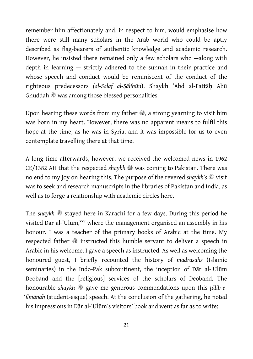remember him affectionately and, in respect to him, would emphasise how there were still many scholars in the Arab world who could be aptly described as flag-bearers of authentic knowledge and academic research. However, he insisted there remained only a few scholars who —along with depth in learning — strictly adhered to the sunnah in their practice and whose speech and conduct would be reminiscent of the conduct of the righteous predecessors *(al-Salaf al-Ṣāliḥūn*). Shaykh ʽAbd al-Fattāḥ Abū Ghuddah  $*$  was among those blessed personalities.

Upon hearing these words from my father  $\ddot{\mathcal{E}}$ , a strong yearning to visit him was born in my heart. However, there was no apparent means to fulfil this hope at the time, as he was in Syria, and it was impossible for us to even contemplate travelling there at that time.

A long time afterwards, however, we received the welcomed news in 1962 CE/1382 AH that the respected *shaykh*  $\frac{36}{29}$  was coming to Pakistan. There was no end to my joy on hearing this. The purpose of the revered *shaykh's*  $\frac{1}{2}$  visit was to seek and research manuscripts in the libraries of Pakistan and India, as well as to forge a relationship with academic circles here.

The *shaykh*  $*$  stayed here in Karachi for a few days. During this period he visited Dār al-ʿUlūm,<sup>xxv</sup> where the management organised an assembly in his honour. I was a teacher of the primary books of Arabic at the time. My respected father  $\frac{36}{28}$  instructed this humble servant to deliver a speech in Arabic in his welcome. I gave a speech as instructed. As well as welcoming the honoured guest, I briefly recounted the history of *madrasahs* (Islamic seminaries) in the Indo-Pak subcontinent, the inception of Dar al-'Ulum Deoband and the [religious] services of the scholars of Deoband. The honourable *shaykh*  $\frac{1}{2}$  gave me generous commendations upon this *tālib-e-̒ilmānah* (student-esque) speech. At the conclusion of the gathering, he noted his impressions in Dār al-'Ulūm's visitors' book and went as far as to write: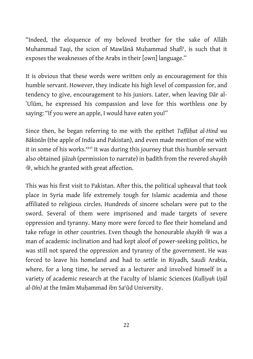"Indeed, the eloquence of my beloved brother for the sake of Allāh Muhammad Taqi, the scion of Mawlānā Muhammad Shafī<sup>c</sup>, is such that it exposes the weaknesses of the Arabs in their [own] language.''

It is obvious that these words were written only as encouragement for this humble servant. However, they indicate his high level of compassion for, and tendency to give, encouragement to his juniors. Later, when leaving Dār al-'Ulūm, he expressed his compassion and love for this worthless one by saying: "If you were an apple, I would have eaten you!"

Since then, he began referring to me with the epithet *Tuffāḥat al-Hind wa Bākistān* (the apple of India and Pakistan), and even made mention of me with it in some of his works.<sup>xxvi</sup> It was during this journey that this humble servant also obtained *ijāzah* (permission to narrate) in ḥadīth from the revered *shaykh*  $\mathcal{L}$ , which he granted with great affection.

This was his first visit to Pakistan. After this, the political upheaval that took place in Syria made life extremely tough for Islamic academia and those affiliated to religious circles. Hundreds of sincere scholars were put to the sword. Several of them were imprisoned and made targets of severe oppression and tyranny. Many more were forced to flee their homeland and take refuge in other countries. Even though the honourable shaykh  $\ast$  was a man of academic inclination and had kept aloof of power-seeking politics, he was still not spared the oppression and tyranny of the government. He was forced to leave his homeland and had to settle in Riyadh, Saudi Arabia, where, for a long time, he served as a lecturer and involved himself in a variety of academic research at the Faculty of Islamic Sciences (*Kulliyah Uṣūl al-Dīn)* at the Imām Muḥammad ibn Saʿūd University.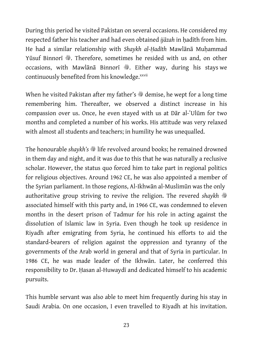During this period he visited Pakistan on several occasions. He considered my respected father his teacher and had even obtained *ijāzah* in ḥadīth from him. He had a similar relationship with *Shaykh al-Hadīth Mawlānā Muhammad* Yūsuf Binnorī , Therefore, sometimes he resided with us and, on other occasions, with Mawlānā Binnorī , Either way, during his stays we continuously benefited from his knowledge.<sup>xxvii</sup>

When he visited Pakistan after my father's  $\frac{36}{27}$  demise, he wept for a long time remembering him. Thereafter, we observed a distinct increase in his compassion over us. Once, he even stayed with us at Dar al-'Ulūm for two months and completed a number of his works. His attitude was very relaxed with almost all students and teachers; in humility he was unequalled.

The honourable *shaykh's*  $\frac{4}{3}$  life revolved around books; he remained drowned in them day and night, and it was due to this that he was naturally a reclusive scholar. However, the status quo forced him to take part in regional politics for religious objectives. Around 1962 CE, he was also appointed a member of the Syrian parliament. In those regions, Al-Ikhwān al-Muslimūn was the only authoritative group striving to revive the religion. The revered shaykh  $\ddot{\mathcal{R}}$ associated himself with this party and, in 1966 CE, was condemned to eleven months in the desert prison of Tadmur for his role in acting against the dissolution of Islamic law in Syria. Even though he took up residence in Riyadh after emigrating from Syria, he continued his efforts to aid the standard-bearers of religion against the oppression and tyranny of the governments of the Arab world in general and that of Syria in particular. In 1986 CE, he was made leader of the Ikhwān. Later, he conferred this responsibility to Dr. Ḥasan al-Huwaydī and dedicated himself to his academic pursuits.

This humble servant was also able to meet him frequently during his stay in Saudi Arabia. On one occasion, I even travelled to Riyadh at his invitation.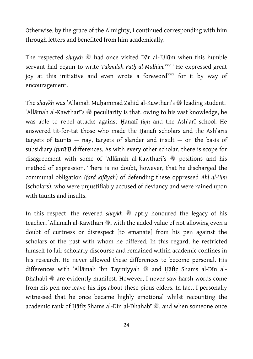Otherwise, by the grace of the Almighty, I continued corresponding with him through letters and benefited from him academically.

The respected *shaykh*  $\frac{3b}{2}$  had once visited Dar al-`Ulūm when this humble servant had begun to write *Takmilah Fath al-Mulhim.<sup>xxviii</sup>* He expressed great joy at this initiative and even wrote a foreword<sup>xxix</sup> for it by way of encouragement.

The *shaykh* was `Allāmah Muhammad Zāhid al-Kawtharī's <sup>®</sup> leading student. 'Allāmah al-Kawtharī's  $\frac{3b}{2}$  peculiarity is that, owing to his vast knowledge, he was able to repel attacks against Hanafi *figh* and the Ash'ari school. He answered tit-for-tat those who made the Hanafī scholars and the Ash'arīs targets of taunts  $-$  nay, targets of slander and insult  $-$  on the basis of subsidiary *(furūʿī)* differences. As with every other scholar, there is scope for disagreement with some of 'Allamah al-Kawthari's Suppositions and his method of expression*.* There is no doubt, however, that he discharged the communal obligation *(farḍ kifāyah)* of defending these oppressed *Ahl al-ʿIlm* (scholars), who were unjustifiably accused of deviancy and were rained upon with taunts and insults.

In this respect, the revered *shaykh*  $\triangleq$  aptly honoured the legacy of his teacher, `Allāmah al-Kawtharī , with the added value of not allowing even a doubt of curtness or disrespect [to emanate] from his pen against the scholars of the past with whom he differed. In this regard, he restricted himself to fair scholarly discourse and remained within academic confines in his research. He never allowed these differences to become personal. His differences with `Allāmah Ibn Taymiyyah  $*$  and Ḥāfiẓ Shams al-Dīn al-Dhahabī  $\ast$  are evidently manifest. However, I never saw harsh words come from his pen nor leave his lips about these pious elders. In fact, I personally witnessed that he once became highly emotional whilst recounting the academic rank of Ḥāfiẓ Shams al-Dīn al-Dhahabī , and when someone once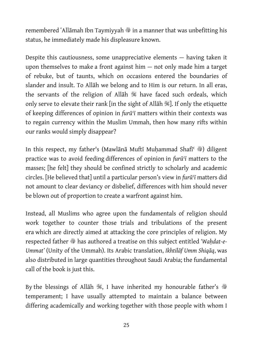remembered `Allāmah Ibn Taymiyyah  $\frac{1}{2}$  in a manner that was unbefitting his status, he immediately made his displeasure known.

Despite this cautiousness, some unappreciative elements — having taken it upon themselves to make a front against him — not only made him a target of rebuke, but of taunts, which on occasions entered the boundaries of slander and insult. To Allāh we belong and to Him is our return. In all eras, the servants of the religion of Allāh  $\mathcal{H}$  have faced such ordeals, which only serve to elevate their rank [in the sight of Allāh  $\mathbb{Z}$ ]. If only the etiquette of keeping differences of opinion in *furūʿī* matters within their contexts was to regain currency within the Muslim Ummah, then how many rifts within our ranks would simply disappear?

In this respect, my father's (Mawlānā Muftī Muhammad Shafī<sup> $\leftarrow$  ) diligent</sup> practice was to avoid feeding differences of opinion in *furūʿī* matters to the masses; [he felt] they should be confined strictly to scholarly and academic circles. [He believed that] until a particular person's view in *furūʿī* matters did not amount to clear deviancy or disbelief, differences with him should never be blown out of proportion to create a warfront against him.

Instead, all Muslims who agree upon the fundamentals of religion should work together to counter those trials and tribulations of the present era which are directly aimed at attacking the core principles of religion. My respected father  $\frac{36}{28}$  has authored a treatise on this subject entitled 'Wahdat-e-*Ummat'* (Unity of the Ummah). Its Arabic translation, *Ikhtilāf Umm Shiqāq*, was also distributed in large quantities throughout Saudi Arabia; the fundamental call of the book is just this.

By the blessings of Allāh  $\mathcal{H}$ , I have inherited my honourable father's  $\mathcal{H}$ temperament; I have usually attempted to maintain a balance between differing academically and working together with those people with whom I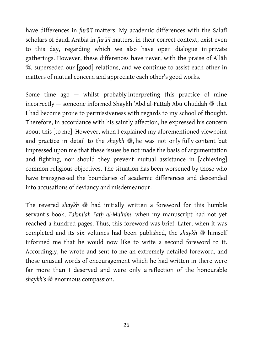have differences in *furūʿī* matters. My academic differences with the Salafī scholars of Saudi Arabia in *furūʿī* matters, in their correct context, exist even to this day, regarding which we also have open dialogue in private gatherings. However, these differences have never, with the praise of Allāh S, superseded our [good] relations, and we continue to assist each other in matters of mutual concern and appreciate each other's good works.

Some time ago — whilst probably interpreting this practice of mine incorrectly — someone informed Shaykh `Abd al-Fattāh Abū Ghuddah  $*$  that I had become prone to permissiveness with regards to my school of thought. Therefore, in accordance with his saintly affection, he expressed his concern about this [to me]. However, when I explained my aforementioned viewpoint and practice in detail to the *shaykh*  $\ddot{\mathcal{E}}$ , he was not only fully content but impressed upon me that these issues be not made the basis of argumentation and fighting, nor should they prevent mutual assistance in [achieving] common religious objectives. The situation has been worsened by those who have transgressed the boundaries of academic differences and descended into accusations of deviancy and misdemeanour.

The revered shaykh  $\frac{3b}{2}$  had initially written a foreword for this humble servant's book, *Takmilah Fatḥ al-Mulhim*, when my manuscript had not yet reached a hundred pages. Thus, this foreword was brief. Later, when it was completed and its six volumes had been published, the *shaykh*  $\ast$  himself informed me that he would now like to write a second foreword to it. Accordingly, he wrote and sent to me an extremely detailed foreword, and those unusual words of encouragement which he had written in there were far more than I deserved and were only a reflection of the honourable shaykh's  $\mathcal{B}$  enormous compassion.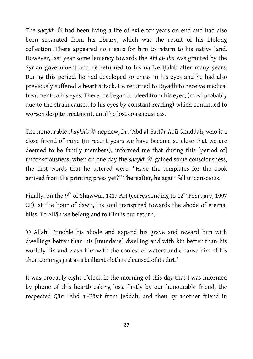The *shaykh*  $*$  had been living a life of exile for years on end and had also been separated from his library, which was the result of his lifelong collection. There appeared no means for him to return to his native land. However, last year some leniency towards the *Ahl al-ʿIlm* was granted by the Syrian government and he returned to his native Halab after many years. During this period, he had developed soreness in his eyes and he had also previously suffered a heart attack. He returned to Riyadh to receive medical treatment to his eyes. There, he began to bleed from his eyes, (most probably due to the strain caused to his eyes by constant reading) which continued to worsen despite treatment, until he lost consciousness.

The honourable *shaykh's*  $\frac{4}{3}$  nephew, Dr. 'Abd al-Sattār Abū Ghuddah, who is a close friend of mine (in recent years we have become so close that we are deemed to be family members), informed me that during this [period of] unconsciousness, when on one day the *shaykh*  $\frac{1}{2}$  gained some consciousness, the first words that he uttered were: ''Have the templates for the book arrived from the printing press yet?'' Thereafter, he again fell unconscious.

Finally, on the 9<sup>th</sup> of Shawwāl, 1417 AH (corresponding to 12<sup>th</sup> February, 1997 CE), at the hour of dawn, his soul transpired towards the abode of eternal bliss. To Allāh we belong and to Him is our return.

'O Allāh! Ennoble his abode and expand his grave and reward him with dwellings better than his [mundane] dwelling and with kin better than his worldly kin and wash him with the coolest of waters and cleanse him of his shortcomings just as a brilliant cloth is cleansed of its dirt.'

It was probably eight o'clock in the morning of this day that I was informed by phone of this heartbreaking loss, firstly by our honourable friend, the respected Qāri ʿAbd al-Bāsiṭ from Jeddah, and then by another friend in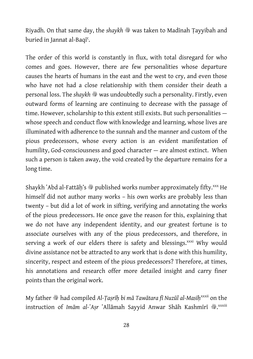Riyadh. On that same day, the *shaykh*  $\ast$  was taken to Madīnah Ṭayyibah and buried in Jannat al-Baqīʿ.

The order of this world is constantly in flux, with total disregard for who comes and goes. However, there are few personalities whose departure causes the hearts of humans in the east and the west to cry, and even those who have not had a close relationship with them consider their death a personal loss. The *shaykh*  $\gg$  was undoubtedly such a personality. Firstly, even outward forms of learning are continuing to decrease with the passage of time. However, scholarship to this extent still exists. But such personalities whose speech and conduct flow with knowledge and learning, whose lives are illuminated with adherence to the sunnah and the manner and custom of the pious predecessors, whose every action is an evident manifestation of humility, God-consciousness and good character — are almost extinct. When such a person is taken away, the void created by the departure remains for a long time.

Shaykh `Abd al-Fattāh's  $\frac{3b}{2}$  published works number approximately fifty.<sup>xxx</sup> He himself did not author many works – his own works are probably less than twenty – but did a lot of work in sifting, verifying and annotating the works of the pious predecessors. He once gave the reason for this, explaining that we do not have any independent identity, and our greatest fortune is to associate ourselves with any of the pious predecessors, and therefore, in serving a work of our elders there is safety and blessings.<sup>xxxi</sup> Why would divine assistance not be attracted to any work that is done with this humility, sincerity, respect and esteem of the pious predecessors? Therefore, at times, his annotations and research offer more detailed insight and carry finer points than the original work.

My father  $*$  had compiled *Al-Tasrīh bi mā Tawātara fī Nuzūl al-Masīh*<sup>xxxii</sup> on the instruction of *Imām al-ʿAṣr ʿAllā*mah Sayyid Anwar Shāh Kashmīrī <sup></sup>@.<sup>xxxiii</sup>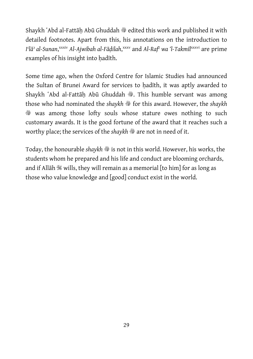Shaykh `Abd al-Fattāh Abū Ghuddah <sup>®</sup> edited this work and published it with detailed footnotes. Apart from this, his annotations on the introduction to I<sup>‹</sup>lā<sup>›</sup> al-Sunan,<sup>xxxiv</sup> Al-Ajwibah al-Fāḍilah,<sup>xxxv</sup> and Al-Raf<sup>c</sup> wa 'l-Takmīl<sup>xxxvi</sup> are prime examples of his insight into hadīth.

Some time ago, when the Oxford Centre for Islamic Studies had announced the Sultan of Brunei Award for services to hadīth, it was aptly awarded to Shaykh `Abd al-Fattāh Abū Ghuddah , This humble servant was among those who had nominated the *shaykh*  $\frac{36}{29}$  for this award. However, the *shaykh* **EXECUTE:** was among those lofty souls whose stature owes nothing to such customary awards. It is the good fortune of the award that it reaches such a worthy place; the services of the *shaykh*  $\mathcal{F}$  are not in need of it.

Today, the honourable *shaykh*  $\ast$  is not in this world. However, his works, the students whom he prepared and his life and conduct are blooming orchards, and if Allāh  $\mathbb K$  wills, they will remain as a memorial [to him] for as long as those who value knowledge and [good] conduct exist in the world.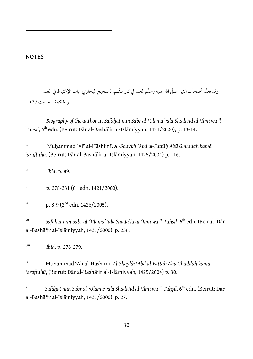#### **NOTES**

 $\overline{a}$ 

i وقد تعلّم أصحاب النبي صلّى الله عليه وسلّم العلم في كبر سنّهم. (صحيح البخاري: باب الإغتباط في العلم والحكمة – حديث 73)

ii *Biography of the author* in *Ṣafaḥāt min Ṣabr al-ʿUlamā' ʿalā Shadāʾid al-ʿIlmi wa 'l-Taḥṣīl*, 6th edn. (Beirut: Dār al-Bashāʾir al-Islāmiyyah, 1421/2000), p. 13-14.

iii Muḥammad ʿAlī al-Hāshimī, *Al-Shaykh ʿAbd al-Fattāḥ Abū Ghuddah kamā ʿaraftuhū*, (Beirut: Dār al-Bashāʾir al-Islāmiyyah, 1425/2004) p. 116.

iv *Ibid*, p. 89.

v p. 278-281 ( $6^{th}$  edn. 1421/2000).

```
v_i p. 8-9 (2^{nd} edn. 1426/2005).
```
vii *Ṣafaḥāt min Ṣabr al-ʿUlamā' ʿalā Shadāʾid al-ʿIlmi wa 'l-Taḥṣīl*, 6th edn. (Beirut: Dār al-Bashāʾir al-Islāmiyyah, 1421/2000), p. 256.

viii *Ibid*, p. 278-279.

ix Muḥammad ʿAlī al-Hāshimī, *Al-Shaykh ʿAbd al-Fattāḥ Abū Ghuddah kamā ʿaraftuhū*, (Beirut: Dār al-Bashāʾir al-Islāmiyyah, 1425/2004) p. 30.

x *Ṣafaḥāt min Ṣabr al-ʿUlamāʾ ʿalā Shadāʾid al-ʿIlmi wa 'l-Taḥṣīl*, 6th edn. (Beirut: Dār al-Bashāʾir al-Islāmiyyah, 1421/2000), p. 27.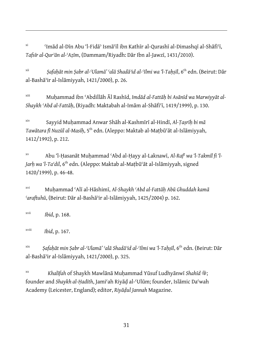xi ʿImād al-Dīn Abu 'l-Fidāʾ Ismāʿīl ibn Kathīr al-Qurashī al-Dimashqī al-Shāfiʿī, *Tafsīr al-Qurʾān al-ʿAẓīm*, (Dammam/Riyadh: Dār Ibn al-Jawzī, 1431/2010).

xii *Ṣafaḥāt min Ṣabr al-ʿUlamā' ʿalā Shadāʾid al-ʿIlmi wa 'l-Taḥṣīl*, 6th edn. (Beirut: Dār al-Bashāʾir al-Islāmiyyah, 1421/2000), p. 26.

xiii Muḥammad ibn ʿAbdillāh Āl Rashīd, *Imdād al-Fattāḥ bi Asānīd wa Marwiyyāt al-Shaykh ʿAbd al-Fattāḥ*, (Riyadh: Maktabah al-Imām al-Shāfiʿī, 1419/1999), p. 130.

xiv Sayyid Muḥammad Anwar Shāh al-Kashmīrī al-Hindī, *Al-Ṭaṣrīḥ bi mā Tawātara fī Nuzūl al-Masīḥ*, 5th edn. (Aleppo: Maktab al-Maṭbūʿāt al-Islāmiyyah, 1412/1992), p. 212.

xv Abu 'l-Ḥasanāt Muḥammad ʿAbd al-Ḥayy al-Laknawī, *Al-Rafʿ wa 'l-Takmīl fi 'l-Jarḥ wa 'l-Taʿdil*, 6th edn. (Aleppo: Maktab al-Maṭbūʿāt al-Islāmiyyah, signed 1420/1999), p. 46-48.

xvi Muḥammad ʿAlī al-Hāshimī, *Al-Shaykh ʿAbd al-Fattāḥ Abū Ghuddah kamā ʿaraftuhū*, (Beirut: Dār al-Bashāʾir al-Islāmiyyah, 1425/2004) p. 162.

xvii *Ibid*, p. 168.

 $\overline{a}$ 

xviii *Ibid*, p. 167.

xix *Ṣafaḥāt min Ṣabr al-ʿUlamā' ʿalā Shadāʾid al-ʿIlmi wa 'l-Taḥṣīl*, 6th edn. (Beirut: Dār al-Bashāʾir al-Islāmiyyah, 1421/2000), p. 325.

xx *Khalīfah* of Shaykh Mawlānā Muḥammad Yūsuf Ludhyānwī *Shahīd* v; founder and *Shaykh al-Ḥadīth*, Jamiʿah Riyāḍ al-ʿUlūm; founder, Islāmic Daʿwah Academy (Leicester, England); editor, *Riyāḍul Jannah* Magazine.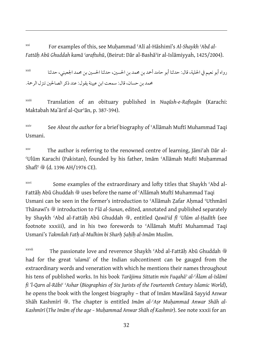xxi For examples of this, see Muḥammad ʿAlī al-Hāshimī's *Al-Shaykh ʿAbd al-Fattāḥ Abū Ghuddah kamā ʿaraftuhū*, (Beirut: Dār al-Bashāʾir al-Islāmiyyah, 1425/2004).

رواه أبو نعيم في الحلية, قال: حدثنا أبو حامد أحمد بن محمد بن الحسين, حدثنا الحسين بن محمد الجعيني, حدثنا xxii محمد بن حسان, قال: سمعت ابن عيينة يقول: عند ذكرالصالحين تنزل الرحمة.

xxiii Translation of an obituary published in *Nuqūsh-e-Raftegān* (Karachi: Maktabah Maʽārif al-Qurʾān, p. 387-394).

xxiv See *About the author* for a brief biography of ʿAllāmah Muftī Muhammad Taqi Usmani.

xxv The author is referring to the renowned centre of learning, Jāmiʿah Dār al-ʿUlūm Karachi (Pakistan), founded by his father, Imām ʿAllāmah Muftī Muḥammad Shafī<sup>c</sup> , (d. 1396 AH/1976 CE).

xxvi Some examples of the extraordinary and lofty titles that Shaykh 'Abd al-Fattāh Abū Ghuddah  $\ddot{\hspace{0.1cm}}$  uses before the name of ʿAllāmah Muftī Muhammad Taqi Usmani can be seen in the former's introduction to 'Allāmah Zafar Ahmad 'Uthmānī Thānawī's  $\ddot{\mathcal{F}}$  introduction to *I*<sup>c</sup>lā al-Sunan, edited, annotated and published separately by Shaykh ʿAbd al-Fattāḥ Abū Ghuddah v, entitled *Qawāʿid fī ʿUlūm al-Ḥadīth* (see footnote xxxiii), and in his two forewords to ʿAllāmah Muftī Muhammad Taqi Usmani's *Takmilah Fatḥ al-Mulhim bi Sharḥ Ṣaḥīḥ al-Imām Muslim*.

xxvii The passionate love and reverence Shaykh 'Abd al-Fattāh Abū Ghuddah <sup>®</sup> had for the great *ʿulamā'* of the Indian subcontinent can be gauged from the extraordinary words and veneration with which he mentions their names throughout his tens of published works. In his book *Tarājimu Sittatin min Fuqahāʾ al-ʿĀlam al-Islāmī fi 'l-Qarn al-Rābiʿ ʿAshar* (*Biographies of Six Jurists of the Fourteenth Century Islamic World*), he opens the book with the longest biography – that of Imām Mawlānā Sayyid Anwar Shāh Kashmīrī , The chapter is entitled *Imām al-ʿAsr Muhammad Anwar Shāh al-Kashmīrī* (*The Imām of the age – Muḥammad Anwar Shāh of Kashmir*). See note xxxii for an

 $\overline{a}$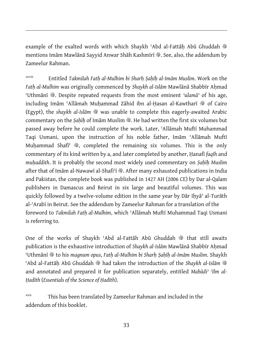example of the exalted words with which Shaykh 'Abd al-Fattāḥ Abū Ghuddah ® mentions Imām Mawlānā Sayyid Anwar Shāh Kashmīrī . See, also, the addendum by Zameelur Rahman.

 $\overline{a}$ 

xxviii Entitled *Takmilah Fatḥ al-Mulhim bi Sharḥ Ṣaḥīḥ al-Imām Muslim*. Work on the *Fatḥ al-Mulhim* was originally commenced by *Shaykh al-Islām* Mawlānā Shabbīr Aḥmad ʿUthmānī v. Despite repeated requests from the most eminent *ʿulamāʾ* of his age, including Imām 'Allāmah Muhammad Zāhid ibn al-Hasan al-Kawtharī �� of Cairo (Egypt), the *shaykh al-Islām*  $\mathcal{L}$  was unable to complete this eagerly-awaited Arabic commentary on the *Ṣaḥīḥ* of Imām Muslim v. He had written the first six volumes but passed away before he could complete the work. Later, ʿAllāmah Muftī Muhammad Taqi Usmani, upon the instruction of his noble father, Imām ʿAllāmah Muftī Muhammad Shafi $\mathcal{F} \circledast$ , completed the remaining six volumes. This is the only commentary of its kind written by a, and later completed by another, Ḥanafī *faqīh* and *muḥaddith*. It is probably the second most widely used commentary on *Ṣaḥīḥ Muslim* after that of Imām al-Nawawī al-Shafi'ī  $\ddot{\textbf{\textit{w}}}$ . After many exhausted publications in India and Pakistan, the complete book was published in 1427 AH (2006 CE) by Dar al-Qalam publishers in Damascus and Beirut in six large and beautiful volumes. This was quickly followed by a twelve-volume edition in the same year by Dār Iḥyāʾ al-Turāth al-ʿArabī in Beirut. See the addendum by Zameelur Rahman for a translation of the foreword to *Takmilah Fatḥ al-Mulhim*, which ʿAllāmah Muftī Muhammad Taqi Usmani is referring to.

One of the works of Shaykh 'Abd al-Fattāh Abū Ghuddah  $\frac{48}{96}$  that still awaits publication is the exhaustive introduction of *Shaykh al-Islām* Mawlānā Shabbīr Aḥmad ʿUthmānī v to his *magnum opus*, *Fatḥ al-Mulhim bi Sharḥ Ṣaḥīḥ al-Imām Muslim*. Shaykh <sup>c</sup>Abd al-Fattāh Abū Ghuddah  $*$  had taken the introduction of the *Shaykh al-Islām*  $*$ and annotated and prepared it for publication separately, entitled *Mabādiʾ ʿIlm al-Ḥadīth* (*Essentials of the Science of Ḥadīth*).

 $x$ <sup>xxix</sup> This has been translated by Zameelur Rahman and included in the addendum of this booklet.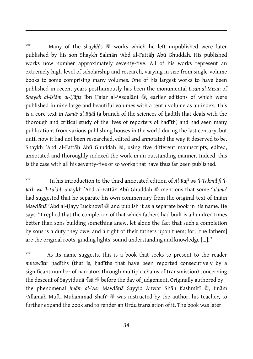$xxx$  Many of the *shaykh*'s  $\frac{36}{3}$  works which he left unpublished were later published by his son Shaykh Salmān ʿAbd al-Fattāḥ Abū Ghuddah. His published works now number approximately seventy-five. All of his works represent an extremely high-level of scholarship and research, varying in size from single-volume books to some comprising many volumes. One of his largest works to have been published in recent years posthumously has been the monumental *Lisān al-Mīzān* of *Shaykh al-Islām al-Ḥāfiẓ* Ibn Ḥajar al-ʿAsqalānī v, earlier editions of which were published in nine large and beautiful volumes with a tenth volume as an index. This is a core text in *Asmāʾ al-Rijāl* (a branch of the sciences of ḥadīth that deals with the thorough and critical study of the lives of reporters of hadīth) and had seen many publications from various publishing houses in the world during the last century, but until now it had not been researched, edited and annotated the way it deserved to be. Shaykh 'Abd al-Fattāḥ Abū Ghuddah , using five different manuscripts, edited, annotated and thoroughly indexed the work in an outstanding manner. Indeed, this is the case with all his seventy-five or so works that have thus far been published.

 $\overline{a}$ 

xxxi In his introduction to the third annotated edition of *Al-Rafʿ wa 'l-Takmīl fi 'l-Jarh wa 'l-Taʿdīl*, Shaykh ʿAbd al-Fattāh Abū Ghuddah  $\mathscr{F}$  mentions that some *'ulamā'* had suggested that he separate his own commentary from the original text of Imām Mawlānā 'Abd al-Hayy Lucknowī  $\frac{36}{2}$  and publish it as a separate book in his name. He says: "I replied that the completion of that which fathers had built is a hundred times better than sons building something anew, let alone the fact that such a completion by sons is a duty they owe, and a right of their fathers upon them; for, [the fathers] are the original roots, guiding lights, sound understanding and knowledge […].''

xxxii As its name suggests, this is a book that seeks to present to the reader *mutawātir* ḥadīths (that is, ḥadīths that have been reported consecutively by a significant number of narrators through multiple chains of transmission) concerning the descent of Sayyidunā 'Īsā <sup>o before</sup> the day of Judgement. Originally authored by the phenomenal *Imām al-ʿAsr* Mawlānā Sayyid Anwar Shāh Kashmīrī , Jmām 'Allāmah Muftī Muḥammad Shafī' <a>
was instructed by the author, his teacher, to further expand the book and to render an Urdu translation of it. The book was later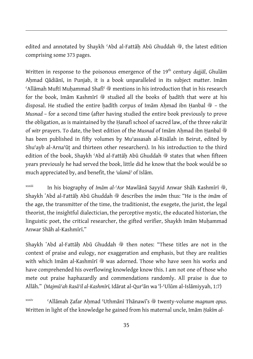edited and annotated by Shaykh 'Abd al-Fattāḥ Abū Ghuddah , the latest edition comprising some 373 pages.

 $\overline{a}$ 

Written in response to the poisonous emergence of the 19<sup>th</sup> century *dajjāl*, Ghulām Ahmad Qādiānī, in Punjab, it is a book unparalleled in its subject matter. Imām  $A$ llāmah Muftī Muhammad Shafī $\mathcal{F}$  mentions in his introduction that in his research for the book, Imām Kashmīrī  $\mathcal Y$  studied all the books of hadīth that were at his disposal. He studied the entire hadīth corpus of Imām Ahmad ibn Hanbal @ - the *Musnad* – for a second time (after having studied the entire book previously to prove the obligation, as is maintained by the Ḥanafī school of sacred law, of the three *rakaʿāt*  of witr prayers. To date, the best edition of the *Musnad* of Imam Ahmad ibn Hanbal  $\ddot{\text{w}}$ has been published in fifty volumes by Muʾassasah al-Risālah in Beirut, edited by Shuʿayb al-Arnaʾūṭ and thirteen other researchers). In his introduction to the third edition of the book, Shaykh 'Abd al-Fattāh Abū Ghuddah  $*$  states that when fifteen years previously he had served the book, little did he know that the book would be so much appreciated by, and benefit, the *ʿulamāʾ* of Islām.

<sup>xxxiii</sup> In his biography of *Imām al-ʿAsr* Mawlānā Sayyid Anwar Shāh Kashmīrī , Shaykh `Abd al-Fattāh Abū Ghuddah <sup>38</sup> describes the *imām* thus: "He is the *imām* of the age, the transmitter of the time, the traditionist, the exegete, the jurist, the legal theorist, the insightful dialectician, the perceptive mystic, the educated historian, the linguistic poet, the critical researcher, the gifted verifier, Shaykh Imām Muḥammad Anwar Shāh al-Kashmīrī."

Shaykh `Abd al-Fattāḥ Abū Ghuddah , then notes: "These titles are not in the context of praise and eulogy, nor exaggeration and emphasis, but they are realities with which Imām al-Kashmīrī  $\frac{48}{32}$  was adorned. Those who have seen his works and have comprehended his overflowing knowledge know this. I am not one of those who mete out praise haphazardly and commendations randomly. All praise is due to Allāh." *(Majmūʿah Rasāʾil al-Kashmīrī,* Idārat al-Qurʾān wa 'l-ʿUlūm al-Islāmiyyah, 1:7)

xxxiv CAllāmah Zafar Ahmad 'Uthmānī Thānawī's  $\frac{36}{3}$  twenty-volume *magnum opus*. Written in light of the knowledge he gained from his maternal uncle, Imām *Ḥakīm al-*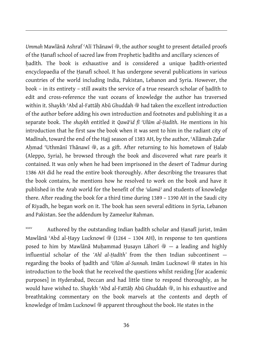Ummah Mawlānā Ashraf 'Alī Thānawī , the author sought to present detailed proofs of the Hanafī school of sacred law from Prophetic hadīths and ancillary sciences of hadīth. The book is exhaustive and is considered a unique hadīth-oriented encyclopaedia of the Ḥanafī school. It has undergone several publications in various countries of the world including India, Pakistan, Lebanon and Syria. However, the book – in its entirety – still awaits the service of a true research scholar of hadīth to edit and cross-reference the vast oceans of knowledge the author has traversed within it. Shaykh 'Abd al-Fattāh Abū Ghuddah  $\ast$  had taken the excellent introduction of the author before adding his own introduction and footnotes and publishing it as a separate book. The *shaykh* entitled it *Qawāʿid fī ʿUlūm al-Ḥadīth*. He mentions in his introduction that he first saw the book when it was sent to him in the radiant city of Madīnah, toward the end of the Hajj season of 1383 AH, by the author, ʿAllāmah Ẓafar Ahmad 'Uthmānī Thānawī , as a gift. After returning to his hometown of Halab (Aleppo, Syria), he browsed through the book and discovered what rare pearls it contained. It was only when he had been imprisoned in the desert of Tadmur during 1386 AH did he read the entire book thoroughly. After describing the treasures that the book contains, he mentions how he resolved to work on the book and have it published in the Arab world for the benefit of the *ʿulamāʾ* and students of knowledge there. After reading the book for a third time during 1389 – 1390 AH in the Saudi city of Riyadh, he began work on it. The book has seen several editions in Syria, Lebanon and Pakistan. See the addendum by Zameelur Rahman.

 $\overline{a}$ 

xxxv Authored by the outstanding Indian hadīth scholar and Hanafī jurist, Imām Mawlānā 'Abd al-Hayy Lucknowī  $\frac{36}{3}$  (1264 – 1304 AH), in response to ten questions posed to him by Mawlānā Muḥammad Ḥusayn Lāhorī �� — a leading and highly influential scholar of the *'Ahl al-Ḥadīth'* from the then Indian subcontinent regarding the books of hadīth and *'Ulūm al-Sunnah*. Imām Lucknowī  $\frac{36}{36}$  states in his introduction to the book that he received the questions whilst residing [for academic purposes] in Hyderabad, Deccan and had little time to respond thoroughly, as he would have wished to. Shaykh 'Abd al-Fattāh Abū Ghuddah , in his exhaustive and breathtaking commentary on the book marvels at the contents and depth of knowledge of Imām Lucknowī  $\ddot{\mathcal{F}}$  apparent throughout the book. He states in the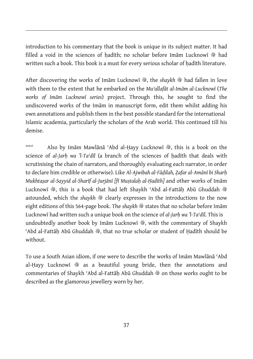introduction to his commentary that the book is unique in its subject matter. It had filled a void in the sciences of hadīth; no scholar before Imām Lucknowī  $\frac{36}{9}$  had written such a book. This book is a must for every serious scholar of hadīth literature.

 $\overline{a}$ 

After discovering the works of Imam Lucknowi , the *shaykh*  $\frac{4}{36}$  had fallen in love with them to the extent that he embarked on the *Muʾallafāt al-Imām al-Lucknowī* (*The works of Imām Lucknowī series*) project. Through this, he sought to find the undiscovered works of the Imām in manuscript form, edit them whilst adding his own annotations and publish them in the best possible standard for the international Islamic academia, particularly the scholars of the Arab world. This continued till his demise.

xxxvi Also by Imām Mawlānā 'Abd al-Hayy Lucknowī , this is a book on the science of al-Jarh wa 'l-Ta'dīl (a branch of the sciences of hadīth that deals with scrutinising the chain of narrators, and thoroughly evaluating each narrator, in order to declare him credible or otherwise). Like *Al-Ajwibah al-Fāḍilah, Ẓafar al-Amānī bi Sharḥ Mukhtaṣar al-Sayyid al-Sharīf al-Jurjānī [fī Muṣtalaḥ al-Ḥadīth]* and other works of Imām Lucknowī 爨, this is a book that had left Shaykh 'Abd al-Fattāh Abū Ghuddah & astounded, which the *shaykh*  $\triangleq$  clearly expresses in the introductions to the now eight editions of this 564-page book. The *shaykh*  $\frac{36}{28}$  states that no scholar before Imam Lucknowī had written such a unique book on the science of *al-Jarḥ wa 'l-Taʿdīl*. This is undoubtedly another book by Imām Lucknowī  $\ddot{\mathcal{E}}$ , with the commentary of Shaykh <sup>'</sup>Abd al-Fattāh Abū Ghuddah  $\ddot{\mathcal{E}}$ , that no true scholar or student of Hadīth should be without.

To use a South Asian idiom, if one were to describe the works of Imām Mawlānā ʿAbd al-Hayy Lucknowī  $\textcircled{\tiny \textcircled{\tiny \textcircled{\tiny \textcirc}}}$  as a beautiful young bride, then the annotations and commentaries of Shaykh 'Abd al-Fattāh Abū Ghuddah  $\frac{4}{30}$  on those works ought to be described as the glamorous jewellery worn by her.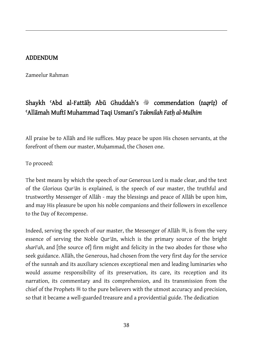#### ADDENDUM

 $\overline{a}$ 

Zameelur Rahman

#### Shaykh 'Abd al-Fattāḥ Abū Ghuddah's <sup>@</sup> commendation (taqrīz) of ʿAllāmah Muftī Muhammad Taqi Usmani's *Takmilah Fatḥ al-Mulhim*

All praise be to Allāh and He suffices. May peace be upon His chosen servants, at the forefront of them our master, Muhammad, the Chosen one.

To proceed:

The best means by which the speech of our Generous Lord is made clear, and the text of the Glorious Qur*ʾā*n is explained, is the speech of our master, the truthful and trustworthy Messenger of Allāh - may the blessings and peace of Allāh be upon him, and may His pleasure be upon his noble companions and their followers in excellence to the Day of Recompense.

Indeed, serving the speech of our master, the Messenger of Allāh  $\mathcal{K}$ , is from the very essence of serving the Noble Qur*ʾā*n, which is the primary source of the bright *sharīʿah*, and [the source of] firm might and felicity in the two abodes for those who seek guidance. Allāh, the Generous, had chosen from the very first day for the service of the sunnah and its auxiliary sciences exceptional men and leading luminaries who would assume responsibility of its preservation, its care, its reception and its narration, its commentary and its comprehension, and its transmission from the chief of the Prophets  $\frac{1}{2}$  to the pure believers with the utmost accuracy and precision, so that it became a well-guarded treasure and a providential guide. The dedication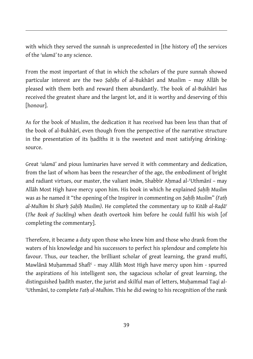with which they served the sunnah is unprecedented in [the history of] the services of the *ʿulamā'* to any science.

 $\overline{a}$ 

From the most important of that in which the scholars of the pure sunnah showed particular interest are the two *Ṣaḥīḥs* of al-Bukhārī and Muslim – may Allāh be pleased with them both and reward them abundantly. The book of al-Bukhārī has received the greatest share and the largest lot, and it is worthy and deserving of this [honour].

As for the book of Muslim, the dedication it has received has been less than that of the book of al-Bukhārī, even though from the perspective of the narrative structure in the presentation of its hadīths it is the sweetest and most satisfying drinkingsource.

Great *ʿulamā'* and pious luminaries have served it with commentary and dedication, from the last of whom has been the researcher of the age, the embodiment of bright and radiant virtues, our master, the valiant *imām*, Shabbīr Ahmad al-'Uthmānī - may Allāh Most High have mercy upon him. His book in which he explained *Ṣaḥīḥ Muslim* was as he named it "the opening of the Inspirer in commenting on *Ṣaḥīḥ Muslim*" *(Fatḥ al-Mulhim bi Sharḥ Ṣaḥīḥ Muslim)*. He completed the commentary up to *Kitāb al-Raḍāʿ*  (*The Book of Suckling*) when death overtook him before he could fulfil his wish [of completing the commentary].

Therefore, it became a duty upon those who knew him and those who drank from the waters of his knowledge and his successors to perfect his splendour and complete his favour. Thus, our teacher, the brilliant scholar of great learning, the grand muftī, Mawlānā Muḥammad Shafīʿ - may Allāh Most High have mercy upon him - spurred the aspirations of his intelligent son, the sagacious scholar of great learning, the distinguished ḥadīth master, the jurist and skilful man of letters, Muḥammad Taqī al-ʿUthmānī, to complete *Fatḥ al-Mulhim*. This he did owing to his recognition of the rank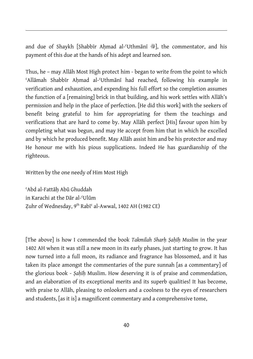and due of Shaykh [Shabbīr Ahmad al-'Uthmānī ), the commentator, and his payment of this due at the hands of his adept and learned son.

Thus, he – may Allāh Most High protect him - began to write from the point to which ʿAllāmah Shabbīr Aḥmad al-ʿUthmānī had reached, following his example in verification and exhaustion, and expending his full effort so the completion assumes the function of a [remaining] brick in that building, and his work settles with Allāh's permission and help in the place of perfection. [He did this work] with the seekers of benefit being grateful to him for appropriating for them the teachings and verifications that are hard to come by. May Allāh perfect [His] favour upon him by completing what was begun, and may He accept from him that in which he excelled and by which he produced benefit. May Allāh assist him and be his protector and may He honour me with his pious supplications. Indeed He has guardianship of the righteous.

Written by the one needy of Him Most High

 $\overline{a}$ 

ʿAbd al-Fattāḥ Abū Ghuddah in Karachi at the Dār al-ʿUlūm Zuhr of Wednesday, 9<sup>th</sup> Rabī<sup>c</sup> al-Awwal, 1402 AH (1982 CE)

[The above] is how I commended the book *Takmilah Sharḥ Ṣaḥīḥ Muslim* in the year 1402 AH when it was still a new moon in its early phases, just starting to grow. It has now turned into a full moon, its radiance and fragrance has blossomed, and it has taken its place amongst the commentaries of the pure sunnah [as a commentary] of the glorious book - *Ṣaḥīḥ* Muslim. How deserving it is of praise and commendation, and an elaboration of its exceptional merits and its superb qualities! It has become, with praise to Allāh, pleasing to onlookers and a coolness to the eyes of researchers and students, [as it is] a magnificent commentary and a comprehensive tome,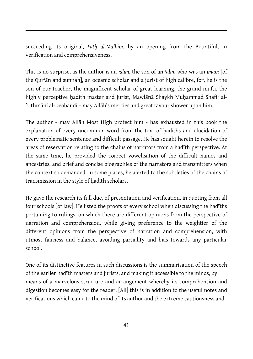succeeding its original, *Fatḥ al-Mulhim*, by an opening from the Bountiful, in verification and comprehensiveness.

 $\overline{a}$ 

This is no surprise, as the author is an *ʿālim,* the son of an *ʿālim* who was an *imām* [of the Qurʾān and sunnah], an oceanic scholar and a jurist of high calibre, for, he is the son of our teacher, the magnificent scholar of great learning, the grand muftī, the highly perceptive hadīth master and jurist, Mawlānā Shaykh Muhammad Shafī<sup>c</sup> al-ʿUthmānī al-Deobandī – may Allāh's mercies and great favour shower upon him.

The author - may Allāh Most High protect him - has exhausted in this book the explanation of every uncommon word from the text of hadīths and elucidation of every problematic sentence and difficult passage. He has sought herein to resolve the areas of reservation relating to the chains of narrators from a ḥadīth perspective. At the same time, he provided the correct vowelisation of the difficult names and ancestries, and brief and concise biographies of the narrators and transmitters when the context so demanded. In some places, he alerted to the subtleties of the chains of transmission in the style of ḥadīth scholars.

He gave the research its full due, of presentation and verification, in quoting from all four schools [of law]. He listed the proofs of every school when discussing the hadīths pertaining to rulings, on which there are different opinions from the perspective of narration and comprehension, while giving preference to the weightier of the different opinions from the perspective of narration and comprehension, with utmost fairness and balance, avoiding partiality and bias towards any particular school.

One of its distinctive features in such discussions is the summarisation of the speech of the earlier hadīth masters and jurists, and making it accessible to the minds, by means of a marvelous structure and arrangement whereby its comprehension and digestion becomes easy for the reader. [All] this is in addition to the useful notes and verifications which came to the mind of its author and the extreme cautiousness and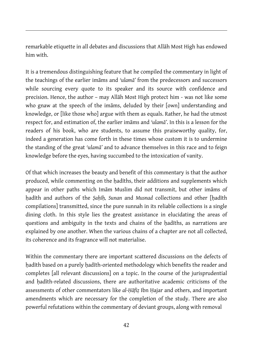remarkable etiquette in all debates and discussions that Allāh Most High has endowed him with.

 $\overline{a}$ 

It is a tremendous distinguishing feature that he compiled the commentary in light of the teachings of the earlier imāms and *ʿulamā'* from the predecessors and successors while sourcing every quote to its speaker and its source with confidence and precision. Hence, the author – may Allāh Most High protect him - was not like some who gnaw at the speech of the imams, deluded by their [own] understanding and knowledge, or [like those who] argue with them as equals. Rather, he had the utmost respect for, and estimation of, the earlier imāms and *ʿulamā'*. In this is a lesson for the readers of his book, who are students, to assume this praiseworthy quality, for, indeed a generation has come forth in these times whose custom it is to undermine the standing of the great *ʿulamā'* and to advance themselves in this race and to feign knowledge before the eyes, having succumbed to the intoxication of vanity.

Of that which increases the beauty and benefit of this commentary is that the author produced, while commenting on the ḥadīths, their additions and supplements which appear in other paths which Imām Muslim did not transmit, but other imāms of hadīth and authors of the *Sahīh*, *Sunan* and *Musnad* collections and other [hadīth compilations] transmitted, since the pure sunnah in its reliable collections is a single dining cloth. In this style lies the greatest assistance in elucidating the areas of questions and ambiguity in the texts and chains of the ḥadīths, as narrations are explained by one another. When the various chains of a chapter are not all collected, its coherence and its fragrance will not materialise.

Within the commentary there are important scattered discussions on the defects of ḥadīth based on a purely ḥadīth-oriented methodology which benefits the reader and completes [all relevant discussions] on a topic. In the course of the jurisprudential and hadīth-related discussions, there are authoritative academic criticisms of the assessments of other commentators like *al-Ḥāfiẓ* Ibn Ḥajar and others, and important amendments which are necessary for the completion of the study. There are also powerful refutations within the commentary of deviant groups, along with removal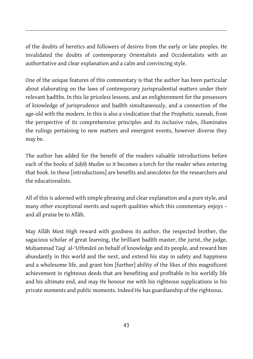of the doubts of heretics and followers of desires from the early or late peoples. He invalidated the doubts of contemporary Orientalists and Occidentalists with an authoritative and clear explanation and a calm and convincing style.

 $\overline{a}$ 

One of the unique features of this commentary is that the author has been particular about elaborating on the laws of contemporary jurisprudential matters under their relevant hadīths. In this lie priceless lessons, and an enlightenment for the possessors of knowledge of jurisprudence and ḥadīth simultaneously, and a connection of the age-old with the modern. In this is also a vindication that the Prophetic sunnah, from the perspective of its comprehensive principles and its inclusive rules, illuminates the rulings pertaining to new matters and emergent events, however diverse they may be.

The author has added for the benefit of the readers valuable introductions before each of the books of *Ṣaḥīḥ Muslim* so it becomes a torch for the reader when entering that book. In these [introductions] are benefits and anecdotes for the researchers and the educationalists.

All of this is adorned with simple phrasing and clear explanation and a pure style, and many other exceptional merits and superb qualities which this commentary enjoys – and all praise be to Allāh.

May Allāh Most High reward with goodness its author, the respected brother, the sagacious scholar of great learning, the brilliant hadīth master, the jurist, the judge, Muḥammad Taqī al-ʿUthmānī on behalf of knowledge and its people, and reward him abundantly in this world and the next, and extend his stay in safety and happiness and a wholesome life, and grant him [further] ability of the likes of this magnificent achievement in righteous deeds that are benefiting and profitable in his worldly life and his ultimate end, and may He honour me with his righteous supplications in his private moments and public moments. Indeed He has guardianship of the righteous.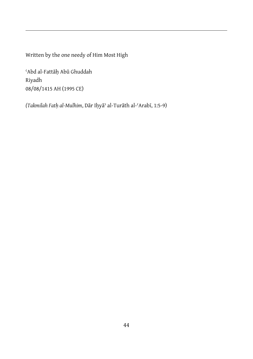Written by the one needy of Him Most High

ʿAbd al-Fattāḥ Abū Ghuddah Riyadh 08/08/1415 AH (1995 CE)

 $\overline{a}$ 

*(Takmilah Fatḥ al-Mulhim*, Dār Iḥyāʾ al-Turāth al-ʿArabī, 1:5-9)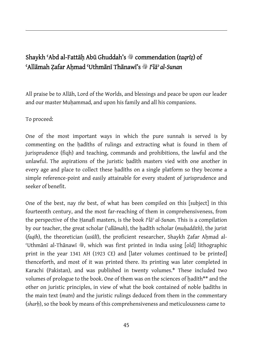#### Shaykh ʿAbd al-Fattāḥ Abū Ghuddah's v commendation (*taqrīẓ*) of ʿAllāmah Ẓafar Aḥmad ʿUthmānī Thānawī's v *I*ʿ*lāʾ al-Sunan*

All praise be to Allāh, Lord of the Worlds, and blessings and peace be upon our leader and our master Muhammad, and upon his family and all his companions.

#### To proceed:

 $\overline{a}$ 

One of the most important ways in which the pure sunnah is served is by commenting on the hadīths of rulings and extracting what is found in them of jurisprudence (fiqh) and teaching, commands and prohibitions, the lawful and the unlawful. The aspirations of the juristic hadīth masters vied with one another in every age and place to collect these hadīths on a single platform so they become a simple reference-point and easily attainable for every student of jurisprudence and seeker of benefit.

One of the best, nay *the* best, of what has been compiled on this [subject] in this fourteenth century, and the most far-reaching of them in comprehensiveness, from the perspective of the Ḥanafī masters, is the book *I*ʿ*lāʾ al-Sunan*. This is a compilation by our teacher, the great scholar (ʿ*allāmah*), the ḥadīth scholar (*muḥaddith*), the jurist (*faqīh*), the theoretician (*usūlī*), the proficient researcher, Shaykh Ẓafar Aḥmad al-Uthmānī al-Thānawī , which was first printed in India using [old] lithographic print in the year 1341 AH (1923 CE) and [later volumes continued to be printed] thenceforth, and most of it was printed there. Its printing was later completed in Karachi (Pakistan), and was published in twenty volumes.\* These included two volumes of prologue to the book. One of them was on the sciences of hadīth\*\* and the other on juristic principles, in view of what the book contained of noble ḥadīths in the main text (*matn*) and the juristic rulings deduced from them in the commentary (*sharḥ*), so the book by means of this comprehensiveness and meticulousness came to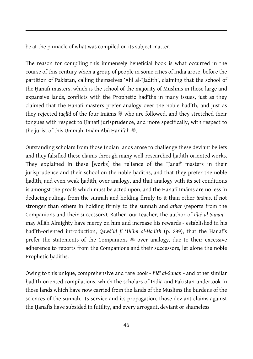be at the pinnacle of what was compiled on its subject matter.

 $\overline{a}$ 

The reason for compiling this immensely beneficial book is what occurred in the course of this century when a group of people in some cities of India arose, before the partition of Pakistan, calling themselves 'Ahl al-Ḥadīth', claiming that the school of the Ḥanafī masters, which is the school of the majority of Muslims in those large and expansive lands, conflicts with the Prophetic hadīths in many issues, just as they claimed that the Hanafī masters prefer analogy over the noble hadīth, and just as they rejected taqlīd of the four Imāms  $\frac{m}{2}$  who are followed, and they stretched their tongues with respect to Ḥanafī jurisprudence, and more specifically, with respect to the jurist of this Ummah, Imām Abū Hanīfah ...

Outstanding scholars from those Indian lands arose to challenge these deviant beliefs and they falsified these claims through many well-researched hadīth-oriented works. They explained in these [works] the reliance of the Ḥanafī masters in their jurisprudence and their school on the noble hadīths, and that they prefer the noble hadīth, and even weak hadīth, over analogy, and that analogy with its set conditions is amongst the proofs which must be acted upon, and the Ḥanafī Imāms are no less in deducing rulings from the sunnah and holding firmly to it than other *imāms*, if not stronger than others in holding firmly to the sunnah and *athar* (reports from the Companions and their successors). Rather, our teacher, the author of *I*ʿ*lāʾ al-Sunan* may Allāh Almighty have mercy on him and increase his rewards - established in his ḥadīth-oriented introduction, *Qawā*ʿ*id fi* ʿ*Ulūm al-Ḥadīth* (p. 289), that the Ḥanafīs prefer the statements of the Companions  $\hat{\phi}$  over analogy, due to their excessive adherence to reports from the Companions and their successors, let alone the noble Prophetic hadīths.

Owing to this unique, comprehensive and rare book - *I*ʿ*lāʾ al-Sunan* - and other similar hadīth-oriented compilations, which the scholars of India and Pakistan undertook in those lands which have now carried from the lands of the Muslims the burdens of the sciences of the sunnah, its service and its propagation, those deviant claims against the Hanafis have subsided in futility, and every arrogant, deviant or shameless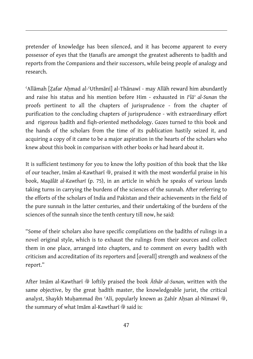pretender of knowledge has been silenced, and it has become apparent to every possessor of eyes that the Hanafīs are amongst the greatest adherents to hadīth and reports from the Companions and their successors, while being people of analogy and research.

 $\overline{a}$ 

ʿAllāmah [Ẓafar Aḥmad al-ʿUthmānī] al-Thānawī - may Allāh reward him abundantly and raise his status and his mention before Him - exhausted in *I*ʿ*lāʾ al-Sunan* the proofs pertinent to all the chapters of jurisprudence - from the chapter of purification to the concluding chapters of jurisprudence - with extraordinary effort and rigorous hadīth and figh-oriented methodology. Gazes turned to this book and the hands of the scholars from the time of its publication hastily seized it, and acquiring a copy of it came to be a major aspiration in the hearts of the scholars who knew about this book in comparison with other books or had heard about it.

It is sufficient testimony for you to know the lofty position of this book that the like of our teacher, Imām al-Kawtharī \*, praised it with the most wonderful praise in his book, *Maqālāt al-Kawtharī* (p. 75), in an article in which he speaks of various lands taking turns in carrying the burdens of the sciences of the sunnah. After referring to the efforts of the scholars of India and Pakistan and their achievements in the field of the pure sunnah in the latter centuries, and their undertaking of the burdens of the sciences of the sunnah since the tenth century till now, he said:

"Some of their scholars also have specific compilations on the ḥadīths of rulings in a novel original style, which is to exhaust the rulings from their sources and collect them in one place, arranged into chapters, and to comment on every hadīth with criticism and accreditation of its reporters and [overall] strength and weakness of the report."

After Imām al-Kawtharī �� loftily praised the book *Āthār al-Sunan*, written with the same objective, by the great hadīth master, the knowledgeable jurist, the critical analyst, Shaykh Muhammad ibn ʿAlī, popularly known as Zahīr Ahsan al-Nīmawī  $\mathcal{E}_r$ , the summary of what Imam al-Kawtharī  $\ddot{\mathcal{E}}$  said is: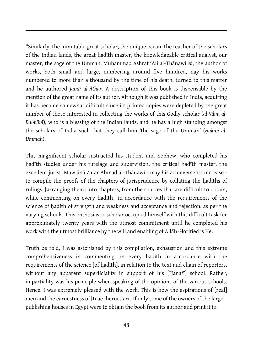"Similarly, the inimitable great scholar, the unique ocean, the teacher of the scholars of the Indian lands, the great hadīth master, the knowledgeable critical analyst, our master, the sage of the Ummah, Muhammad Ashraf 'Alī al-Thānawī  $\mathcal{E}$  the author of works, both small and large, numbering around five hundred, nay his works numbered to more than a thousand by the time of his death, turned to this matter and he authored *Jāmi*ʿ *al-Āthār*. A description of this book is dispensable by the mention of the great name of its author. Although it was published in India, acquiring it has become somewhat difficult since its printed copies were depleted by the great number of those interested in collecting the works of this Godly scholar (*al-ʿālim al-Rabbānī*), who is a blessing of the Indian lands, and he has a high standing amongst the scholars of India such that they call him 'the sage of the Ummah' (*Ḥakīm al-Ummah*).

 $\overline{a}$ 

This magnificent scholar instructed his student and nephew, who completed his hadīth studies under his tutelage and supervision, the critical hadīth master, the excellent jurist, Mawlānā Zafar Ahmad al-Thānawī - may his achievements increase to compile the proofs of the chapters of jurisprudence by collating the ḥadīths of rulings, [arranging them] into chapters, from the sources that are difficult to obtain, while commenting on every hadīth in accordance with the requirements of the science of hadīth of strength and weakness and acceptance and rejection, as per the varying schools. This enthusiastic scholar occupied himself with this difficult task for approximately twenty years with the utmost commitment until he completed his work with the utmost brilliance by the will and enabling of Allāh Glorified is He.

Truth be told, I was astonished by this compilation, exhaustion and this extreme comprehensiveness in commenting on every ḥadīth in accordance with the requirements of the science [of ḥadīth], in relation to the text and chain of reporters, without any apparent superficiality in support of his [Ḥanafī] school. Rather, impartiality was his principle when speaking of the opinions of the various schools. Hence, I was extremely pleased with the work. This is how the aspirations of [real] men and the earnestness of [true] heroes are. If only some of the owners of the large publishing houses in Egypt were to obtain the book from its author and print it in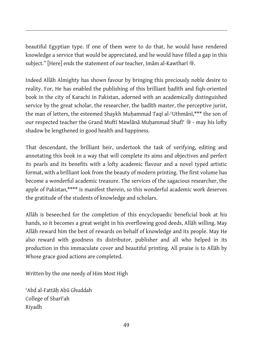beautiful Egyptian type. If one of them were to do that, he would have rendered knowledge a service that would be appreciated, and he would have filled a gap in this subiect." [Here] ends the statement of our teacher, Imām al-Kawtharī  $\ddot{\mathcal{E}}$ .

Indeed Allāh Almighty has shown favour by bringing this preciously noble desire to reality. For, He has enabled the publishing of this brilliant hadīth and figh-oriented book in the city of Karachi in Pakistan, adorned with an academically distinguished service by the great scholar, the researcher, the hadīth master, the perceptive jurist, the man of letters, the esteemed Shaykh Muḥammad Taqī al-ʿUthmānī,\*\*\* the son of our respected teacher the Grand Muftī Mawlānā Muhammad Shafī<sup>c</sup> �� - may his lofty shadow be lengthened in good health and happiness.

That descendant, the brilliant heir, undertook the task of verifying, editing and annotating this book in a way that will complete its aims and objectives and perfect its pearls and its benefits with a lofty academic flavour and a novel typed artistic format, with a brilliant look from the beauty of modern printing. The first volume has become a wonderful academic treasure. The services of the sagacious researcher, the apple of Pakistan,\*\*\*\* is manifest therein, so this wonderful academic work deserves the gratitude of the students of knowledge and scholars.

Allāh is beseeched for the completion of this encyclopaedic beneficial book at his hands, so it becomes a great weight in his overflowing good deeds, Allāh willing. May Allāh reward him the best of rewards on behalf of knowledge and its people. May He also reward with goodness its distributor, publisher and all who helped in its production in this immaculate cover and beautiful printing. All praise is to Allāh by Whose grace good actions are completed.

Written by the one needy of Him Most High

ʿAbd al-Fattāḥ Abū Ghuddah College of Sharīʿah Riyadh

 $\overline{a}$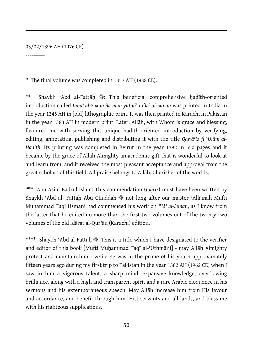#### 03/02/1396 AH (1976 CE)

 $\overline{a}$ 

----------

\* The final volume was completed in 1357 AH (1938 CE).

\*\* Shaykh ʿAbd al-Fattāḥ v: This beneficial comprehensive ḥadīth-oriented introduction called *Inhāʾ al-Sakan ilā man yuṭāli*ʿ*u I*ʿ*lāʾ al-Sunan* was printed in India in the year 1345 AH in [old] lithographic print. It was then printed in Karachi in Pakistan in the year 1383 AH in modern print. Later, Allāh, with Whom is grace and blessing, favoured me with serving this unique hadīth-oriented introduction by verifying, editing, annotating, publishing and distributing it with the title *Qawā*ʿ*id fi* ʿ*Ulūm al-Ḥadīth*. Its printing was completed in Beirut in the year 1392 in 550 pages and it became by the grace of Allāh Almighty an academic gift that is wonderful to look at and learn from, and it received the most pleasant acceptance and approval from the great scholars of this field. All praise belongs to Allāh, Cherisher of the worlds.

\*\*\* Abu Asim Badrul Islam: This commendation (*taqrīẓ*) must have been written by Shaykh 'Abd al- Fattāh Abū Ghuddah  $*$  not long after our master 'Allāmah Muftī Muhammad Taqi Usmani had commenced his work on *I*ʿ*lāʾ al-Sunan*, as I know from the latter that he edited no more than the first two volumes out of the twenty-two volumes of the old Idārat al-Qurʾān (Karachi) edition.

Shaykh 'Abd al-Fattah  $\ddot{\mathcal{E}}$ : This is a title which I have designated to the verifier and editor of this book [Muftī Muḥammad Taqī al-ʿUthmānī] - may Allāh Almighty protect and maintain him - while he was in the prime of his youth approximately fifteen years ago during my first trip to Pakistan in the year 1382 AH (1962 CE) when I saw in him a vigorous talent, a sharp mind, expansive knowledge, overflowing brilliance, along with a high and transparent spirit and a rare Arabic eloquence in his sermons and his extemporaneous speech. May Allāh increase him from His favour and accordance, and benefit through him [His] servants and all lands, and bless me with his righteous supplications.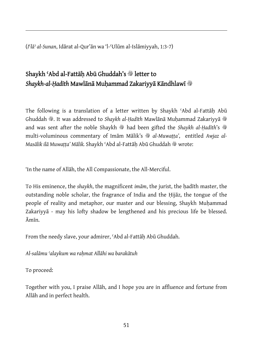(*I*ʿ*lāʾ al-Sunan*, Idārat al-Qur'ān wa 'l-ʿUlūm al-Islāmiyyah, 1:3-7)

#### Shaykh 'Abd al-Fattāh Abū Ghuddah's <sup>8</sup> letter to *Shaykh-al-Ḥadīth* Mawlānā Muḥammad Zakariyyā Kāndhlawī v

The following is a translation of a letter written by Shaykh 'Abd al-Fattāh Abū Ghuddah <sup>®</sup>. It was addressed to *Shaykh al-Hadīth Mawlānā Muhammad Zakariyyā* <sup>®</sup> and was sent after the noble Shaykh <sup>®</sup> had been gifted the *Shaykh al-Hadīth's* <sup>®</sup> multi-voluminous commentary of Imām Mālik's  $\mathcal{F}_{all}$  al-Muwatta', entitled Awjaz al-*Masālik ilā Muwatta' Mālik.* Shaykh 'Abd al-Fattāh Abū Ghuddah ® wrote:

'In the name of Allāh, the All Compassionate, the All-Merciful.

To His eminence, the *shaykh*, the magnificent *imām*, the jurist, the ḥadīth master, the outstanding noble scholar, the fragrance of India and the Ḥijāz, the tongue of the people of reality and metaphor, our master and our blessing, Shaykh Muḥammad Zakariyyā - may his lofty shadow be lengthened and his precious life be blessed. Āmīn.

From the needy slave, your admirer, ʿAbd al-Fattāḥ Abū Ghuddah.

*Al-salāmu ʿalaykum wa raḥmat Allāhi wa barakātuh* 

To proceed:

 $\overline{a}$ 

Together with you, I praise Allāh, and I hope you are in affluence and fortune from Allāh and in perfect health.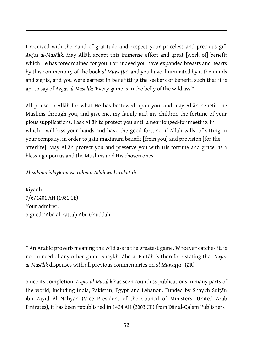I received with the hand of gratitude and respect your priceless and precious gift *Awjaz al-Masālik.* May Allāh accept this immense effort and great [work of] benefit which He has foreordained for you. For, indeed you have expanded breasts and hearts by this commentary of the book *al-Muwaṭṭa'*, and you have illuminated by it the minds and sights, and you were earnest in benefitting the seekers of benefit, such that it is apt to say of *Awjaz al-Masālik*: 'Every game is in the belly of the wild ass'\*.

All praise to Allāh for what He has bestowed upon you, and may Allāh benefit the Muslims through you, and give me, my family and my children the fortune of your pious supplications. I ask Allāh to protect you until a near longed-for meeting, in which I will kiss your hands and have the good fortune, if Allāh wills, of sitting in your company, in order to gain maximum benefit [from you] and provision [for the afterlife]. May Allāh protect you and preserve you with His fortune and grace, as a blessing upon us and the Muslims and His chosen ones.

*Al-salāmu ʿalaykum wa rahmat Allāh wa barakātuh* 

Riyadh 7/6/1401 AH (1981 CE) Your admirer, Signed: ʿAbd al-Fattāḥ Abū Ghuddah'

 $\overline{a}$ 

\* An Arabic proverb meaning the wild ass is the greatest game. Whoever catches it, is not in need of any other game. Shaykh 'Abd al-Fattāḥ is therefore stating that *Awjaz al-Masālik* dispenses with all previous commentaries on *al-Muwaṭṭa'*. (ZR)

Since its completion, *Awjaz al-Masālik* has seen countless publications in many parts of the world, including India, Pakistan, Egypt and Lebanon. Funded by Shaykh Sulṭān ibn Zāyid Āl Nahyān (Vice President of the Council of Ministers, United Arab Emirates), it has been republished in 1424 AH (2003 CE) from Dār al-Qalam Publishers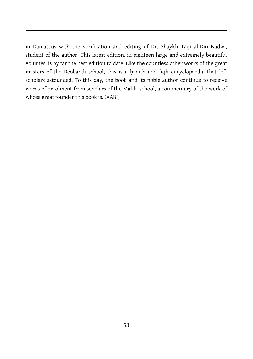in Damascus with the verification and editing of Dr. Shaykh Taqi al-Dīn Nadwī, student of the author. This latest edition, in eighteen large and extremely beautiful volumes, is by far the best edition to date. Like the countless other works of the great masters of the Deobandi school, this is a ḥadīth and fiqh encyclopaedia that left scholars astounded. To this day, the book and its noble author continue to receive words of extolment from scholars of the Mālikī school, a commentary of the work of whose great founder this book is. (AABI)

 $\overline{a}$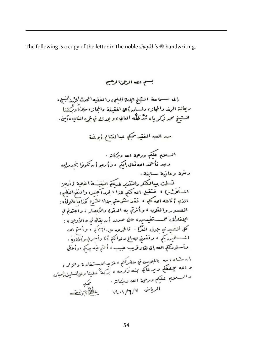The following is a copy of the letter in the noble *shaykh*'s  $\frac{1}{2}$  handwriting.

 $\overline{a}$ 

بسم الله الرحمى الرهم رالى سسما حة الشيخ الإياثا الجللي والعقيه المحدث الخمد البسل، ربيأنة الهذ والجازء دلسائه أه الفقيقة والجازء ملاناً ديركننا السِبْنِج مِمِد زَكرِ مَا ۽ مُنَّذَ ظُلُّه العابِيءَ و بورك نمَّ عُرَه انغانيءَ مَنْ مد العبدالغَيْدِ محكمٍ عبدالنشاح أبرغَنة السلام عكيم ورحمة الله وتركأته · وبعد تأخذ الله ثنائي إلكم ءو إرجو أ برتكونوا بحدمائه دنئمة وتانية ساينة . الذي أتاعه الله كلي ، فقد كرحتي بهذا؟ لِشَرَحَ كَلَنَا لَهُ لِلْهِ لَمَّا وَالْعِلَمُ : المصدر والقوب ء وأنرتم به المبقرئ دالأنفار ، واجتدتم نما الِدْفَادُقْ عَمَــــــقْفِيدِسِهِ، حتى صدور } له يقالي في « الأوجز » : كل أنصيدي جوف الفُرًا · قالمحدلله على نابَرْتَا بِهِ • وأمتم ألله ا يُسْسِلِهِ مِنْهِ ، وفَقَعَتْيَ بِصَالِحٍ دَوَاتَهَا أَنَا دَأْسَرِقِ وَأَوْلَادَةٍ . وأستوديكم الله إلى لقاء قريب حبيب ، أكثم فيه يدكم ، وأحلى .<br>است دا بعد بالجوسی نو حضرتها ، لمزیدانوستغاد ة والزاد ،<br>و الله محفظه و بر وک برد . وندست داشته بالمجلوسی في حضرتنم ، غزیداندستفاد ة والزاد ،<br>و الله سچنخفکم و پر تاکم مهنه زَنرده ، برَندَّ خلینا ردلیالسلین(نعبار،<br>و السلطین شلکه و رحمت الله سربرات ر السلام عليكم درجة الله وبركاتة .<br>-الرياض الألاب الأرادية